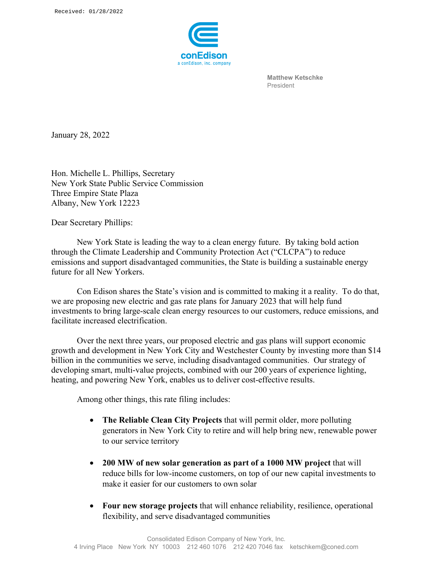

**Matthew Ketschke** President

January 28, 2022

Hon. Michelle L. Phillips, Secretary New York State Public Service Commission Three Empire State Plaza Albany, New York 12223

Dear Secretary Phillips:

New York State is leading the way to a clean energy future. By taking bold action through the Climate Leadership and Community Protection Act ("CLCPA") to reduce emissions and support disadvantaged communities, the State is building a sustainable energy future for all New Yorkers.

Con Edison shares the State's vision and is committed to making it a reality. To do that, we are proposing new electric and gas rate plans for January 2023 that will help fund investments to bring large-scale clean energy resources to our customers, reduce emissions, and facilitate increased electrification.

Over the next three years, our proposed electric and gas plans will support economic growth and development in New York City and Westchester County by investing more than \$14 billion in the communities we serve, including disadvantaged communities. Our strategy of developing smart, multi-value projects, combined with our 200 years of experience lighting, heating, and powering New York, enables us to deliver cost-effective results.

Among other things, this rate filing includes:

- **The Reliable Clean City Projects** that will permit older, more polluting generators in New York City to retire and will help bring new, renewable power to our service territory
- **200 MW of new solar generation as part of a 1000 MW project** that will reduce bills for low-income customers, on top of our new capital investments to make it easier for our customers to own solar
- **Four new storage projects** that will enhance reliability, resilience, operational flexibility, and serve disadvantaged communities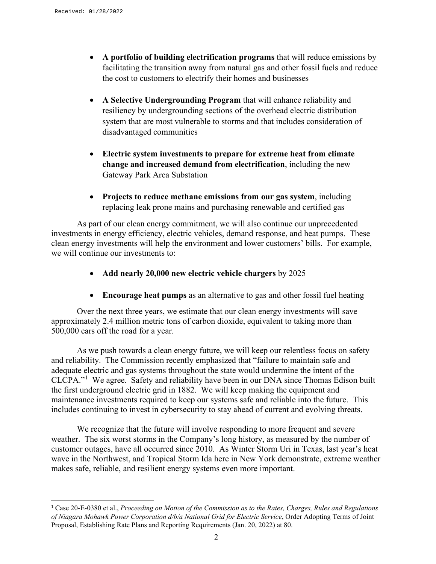- **A portfolio of building electrification programs** that will reduce emissions by facilitating the transition away from natural gas and other fossil fuels and reduce the cost to customers to electrify their homes and businesses
- **A Selective Undergrounding Program** that will enhance reliability and resiliency by undergrounding sections of the overhead electric distribution system that are most vulnerable to storms and that includes consideration of disadvantaged communities
- **Electric system investments to prepare for extreme heat from climate change and increased demand from electrification**, including the new Gateway Park Area Substation
- **Projects to reduce methane emissions from our gas system**, including replacing leak prone mains and purchasing renewable and certified gas

As part of our clean energy commitment, we will also continue our unprecedented investments in energy efficiency, electric vehicles, demand response, and heat pumps. These clean energy investments will help the environment and lower customers' bills. For example, we will continue our investments to:

- **Add nearly 20,000 new electric vehicle chargers** by 2025
- **Encourage heat pumps** as an alternative to gas and other fossil fuel heating

Over the next three years, we estimate that our clean energy investments will save approximately 2.4 million metric tons of carbon dioxide, equivalent to taking more than 500,000 cars off the road for a year.

As we push towards a clean energy future, we will keep our relentless focus on safety and reliability. The Commission recently emphasized that "failure to maintain safe and adequate electric and gas systems throughout the state would undermine the intent of the CLCPA."[1](#page-1-0) We agree. Safety and reliability have been in our DNA since Thomas Edison built the first underground electric grid in 1882. We will keep making the equipment and maintenance investments required to keep our systems safe and reliable into the future. This includes continuing to invest in cybersecurity to stay ahead of current and evolving threats.

We recognize that the future will involve responding to more frequent and severe weather. The six worst storms in the Company's long history, as measured by the number of customer outages, have all occurred since 2010. As Winter Storm Uri in Texas, last year's heat wave in the Northwest, and Tropical Storm Ida here in New York demonstrate, extreme weather makes safe, reliable, and resilient energy systems even more important.

<span id="page-1-0"></span><sup>1</sup> Case 20-E-0380 et al., *Proceeding on Motion of the Commission as to the Rates, Charges, Rules and Regulations of Niagara Mohawk Power Corporation d/b/a National Grid for Electric Service*, Order Adopting Terms of Joint Proposal, Establishing Rate Plans and Reporting Requirements (Jan. 20, 2022) at 80.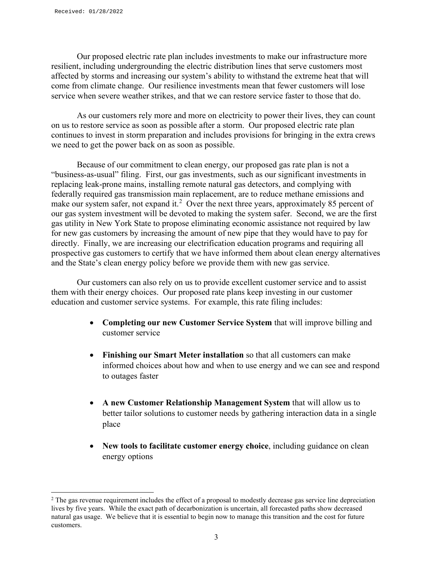Our proposed electric rate plan includes investments to make our infrastructure more resilient, including undergrounding the electric distribution lines that serve customers most affected by storms and increasing our system's ability to withstand the extreme heat that will come from climate change. Our resilience investments mean that fewer customers will lose service when severe weather strikes, and that we can restore service faster to those that do.

As our customers rely more and more on electricity to power their lives, they can count on us to restore service as soon as possible after a storm. Our proposed electric rate plan continues to invest in storm preparation and includes provisions for bringing in the extra crews we need to get the power back on as soon as possible.

Because of our commitment to clean energy, our proposed gas rate plan is not a "business-as-usual" filing. First, our gas investments, such as our significant investments in replacing leak-prone mains, installing remote natural gas detectors, and complying with federally required gas transmission main replacement, are to reduce methane emissions and make our system safer, not expand it.<sup>[2](#page-2-0)</sup> Over the next three years, approximately 85 percent of our gas system investment will be devoted to making the system safer. Second, we are the first gas utility in New York State to propose eliminating economic assistance not required by law for new gas customers by increasing the amount of new pipe that they would have to pay for directly. Finally, we are increasing our electrification education programs and requiring all prospective gas customers to certify that we have informed them about clean energy alternatives and the State's clean energy policy before we provide them with new gas service.

Our customers can also rely on us to provide excellent customer service and to assist them with their energy choices. Our proposed rate plans keep investing in our customer education and customer service systems. For example, this rate filing includes:

- **Completing our new Customer Service System** that will improve billing and customer service
- **Finishing our Smart Meter installation** so that all customers can make informed choices about how and when to use energy and we can see and respond to outages faster
- **A new Customer Relationship Management System** that will allow us to better tailor solutions to customer needs by gathering interaction data in a single place
- **New tools to facilitate customer energy choice**, including guidance on clean energy options

<span id="page-2-0"></span><sup>&</sup>lt;sup>2</sup> The gas revenue requirement includes the effect of a proposal to modestly decrease gas service line depreciation lives by five years. While the exact path of decarbonization is uncertain, all forecasted paths show decreased natural gas usage. We believe that it is essential to begin now to manage this transition and the cost for future customers.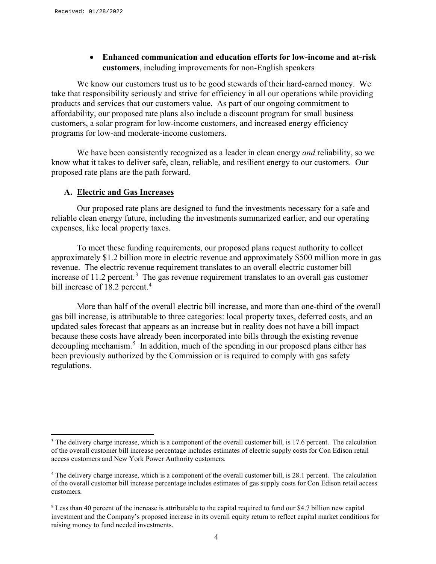• **Enhanced communication and education efforts for low-income and at-risk customers**, including improvements for non-English speakers

We know our customers trust us to be good stewards of their hard-earned money. We take that responsibility seriously and strive for efficiency in all our operations while providing products and services that our customers value. As part of our ongoing commitment to affordability, our proposed rate plans also include a discount program for small business customers, a solar program for low-income customers, and increased energy efficiency programs for low-and moderate-income customers.

We have been consistently recognized as a leader in clean energy *and* reliability, so we know what it takes to deliver safe, clean, reliable, and resilient energy to our customers. Our proposed rate plans are the path forward.

### **A. Electric and Gas Increases**

Our proposed rate plans are designed to fund the investments necessary for a safe and reliable clean energy future, including the investments summarized earlier, and our operating expenses, like local property taxes.

To meet these funding requirements, our proposed plans request authority to collect approximately \$1.2 billion more in electric revenue and approximately \$500 million more in gas revenue. The electric revenue requirement translates to an overall electric customer bill increase of 11.2 percent.<sup>[3](#page-3-0)</sup> The gas revenue requirement translates to an overall gas customer bill increase of 18.2 percent.<sup>[4](#page-3-1)</sup>

More than half of the overall electric bill increase, and more than one-third of the overall gas bill increase, is attributable to three categories: local property taxes, deferred costs, and an updated sales forecast that appears as an increase but in reality does not have a bill impact because these costs have already been incorporated into bills through the existing revenue decoupling mechanism.<sup>[5](#page-3-2)</sup> In addition, much of the spending in our proposed plans either has been previously authorized by the Commission or is required to comply with gas safety regulations.

<span id="page-3-0"></span><sup>&</sup>lt;sup>3</sup> The delivery charge increase, which is a component of the overall customer bill, is 17.6 percent. The calculation of the overall customer bill increase percentage includes estimates of electric supply costs for Con Edison retail access customers and New York Power Authority customers.

<span id="page-3-1"></span><sup>4</sup> The delivery charge increase, which is a component of the overall customer bill, is 28.1 percent. The calculation of the overall customer bill increase percentage includes estimates of gas supply costs for Con Edison retail access customers.

<span id="page-3-2"></span><sup>5</sup> Less than 40 percent of the increase is attributable to the capital required to fund our \$4.7 billion new capital investment and the Company's proposed increase in its overall equity return to reflect capital market conditions for raising money to fund needed investments.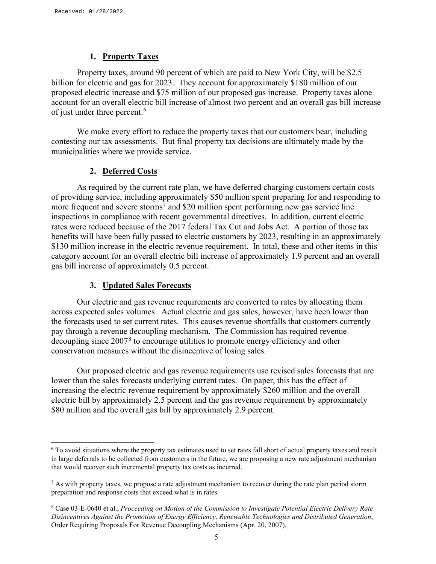### **1. Property Taxes**

Property taxes, around 90 percent of which are paid to New York City, will be \$2.5 billion for electric and gas for 2023. They account for approximately \$180 million of our proposed electric increase and \$75 million of our proposed gas increase. Property taxes alone account for an overall electric bill increase of almost two percent and an overall gas bill increase of just under three percent.<sup>[6](#page-4-0)</sup>

We make every effort to reduce the property taxes that our customers bear, including contesting our tax assessments. But final property tax decisions are ultimately made by the municipalities where we provide service.

### **2. Deferred Costs**

As required by the current rate plan, we have deferred charging customers certain costs of providing service, including approximately \$50 million spent preparing for and responding to more frequent and severe storms<sup>[7](#page-4-1)</sup> and \$20 million spent performing new gas service line inspections in compliance with recent governmental directives. In addition, current electric rates were reduced because of the 2017 federal Tax Cut and Jobs Act. A portion of those tax benefits will have been fully passed to electric customers by 2023, resulting in an approximately \$130 million increase in the electric revenue requirement. In total, these and other items in this category account for an overall electric bill increase of approximately 1.9 percent and an overall gas bill increase of approximately 0.5 percent.

### **3. Updated Sales Forecasts**

Our electric and gas revenue requirements are converted to rates by allocating them across expected sales volumes. Actual electric and gas sales, however, have been lower than the forecasts used to set current rates. This causes revenue shortfalls that customers currently pay through a revenue decoupling mechanism. The Commission has required revenue decoupling since 2007<sup>[8](#page-4-2)</sup> to encourage utilities to promote energy efficiency and other conservation measures without the disincentive of losing sales.

Our proposed electric and gas revenue requirements use revised sales forecasts that are lower than the sales forecasts underlying current rates. On paper, this has the effect of increasing the electric revenue requirement by approximately \$260 million and the overall electric bill by approximately 2.5 percent and the gas revenue requirement by approximately \$80 million and the overall gas bill by approximately 2.9 percent.

<span id="page-4-0"></span><sup>&</sup>lt;sup>6</sup> To avoid situations where the property tax estimates used to set rates fall short of actual property taxes and result in large deferrals to be collected from customers in the future, we are proposing a new rate adjustment mechanism that would recover such incremental property tax costs as incurred.

<span id="page-4-1"></span> $<sup>7</sup>$  As with property taxes, we propose a rate adjustment mechanism to recover during the rate plan period storm</sup> preparation and response costs that exceed what is in rates.

<span id="page-4-2"></span><sup>8</sup> Case 03-E-0640 et al., *Proceeding on Motion of the Commission to Investigate Potential Electric Delivery Rate Disincentives Against the Promotion of Energy Efficiency, Renewable Technologies and Distributed Generation*, Order Requiring Proposals For Revenue Decoupling Mechanisms (Apr. 20, 2007).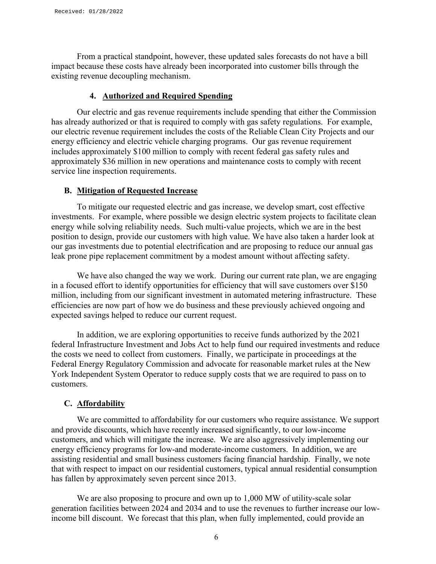From a practical standpoint, however, these updated sales forecasts do not have a bill impact because these costs have already been incorporated into customer bills through the existing revenue decoupling mechanism.

### **4. Authorized and Required Spending**

Our electric and gas revenue requirements include spending that either the Commission has already authorized or that is required to comply with gas safety regulations. For example, our electric revenue requirement includes the costs of the Reliable Clean City Projects and our energy efficiency and electric vehicle charging programs. Our gas revenue requirement includes approximately \$100 million to comply with recent federal gas safety rules and approximately \$36 million in new operations and maintenance costs to comply with recent service line inspection requirements.

### **B. Mitigation of Requested Increase**

To mitigate our requested electric and gas increase, we develop smart, cost effective investments. For example, where possible we design electric system projects to facilitate clean energy while solving reliability needs. Such multi-value projects, which we are in the best position to design, provide our customers with high value. We have also taken a harder look at our gas investments due to potential electrification and are proposing to reduce our annual gas leak prone pipe replacement commitment by a modest amount without affecting safety.

We have also changed the way we work. During our current rate plan, we are engaging in a focused effort to identify opportunities for efficiency that will save customers over \$150 million, including from our significant investment in automated metering infrastructure. These efficiencies are now part of how we do business and these previously achieved ongoing and expected savings helped to reduce our current request.

In addition, we are exploring opportunities to receive funds authorized by the 2021 federal Infrastructure Investment and Jobs Act to help fund our required investments and reduce the costs we need to collect from customers. Finally, we participate in proceedings at the Federal Energy Regulatory Commission and advocate for reasonable market rules at the New York Independent System Operator to reduce supply costs that we are required to pass on to customers.

### **C. Affordability**

We are committed to affordability for our customers who require assistance. We support and provide discounts, which have recently increased significantly, to our low-income customers, and which will mitigate the increase. We are also aggressively implementing our energy efficiency programs for low-and moderate-income customers. In addition, we are assisting residential and small business customers facing financial hardship. Finally, we note that with respect to impact on our residential customers, typical annual residential consumption has fallen by approximately seven percent since 2013.

We are also proposing to procure and own up to 1,000 MW of utility-scale solar generation facilities between 2024 and 2034 and to use the revenues to further increase our lowincome bill discount. We forecast that this plan, when fully implemented, could provide an

6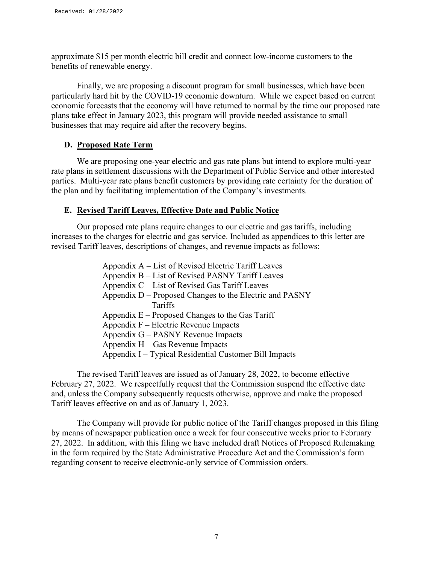approximate \$15 per month electric bill credit and connect low-income customers to the benefits of renewable energy.

Finally, we are proposing a discount program for small businesses, which have been particularly hard hit by the COVID-19 economic downturn. While we expect based on current economic forecasts that the economy will have returned to normal by the time our proposed rate plans take effect in January 2023, this program will provide needed assistance to small businesses that may require aid after the recovery begins.

### **D. Proposed Rate Term**

We are proposing one-year electric and gas rate plans but intend to explore multi-year rate plans in settlement discussions with the Department of Public Service and other interested parties. Multi-year rate plans benefit customers by providing rate certainty for the duration of the plan and by facilitating implementation of the Company's investments.

### **E. Revised Tariff Leaves, Effective Date and Public Notice**

Our proposed rate plans require changes to our electric and gas tariffs, including increases to the charges for electric and gas service. Included as appendices to this letter are revised Tariff leaves, descriptions of changes, and revenue impacts as follows:

| Appendix A – List of Revised Electric Tariff Leaves     |
|---------------------------------------------------------|
| Appendix B - List of Revised PASNY Tariff Leaves        |
| Appendix C – List of Revised Gas Tariff Leaves          |
| Appendix D – Proposed Changes to the Electric and PASNY |
| Tariffs                                                 |
| Appendix $E -$ Proposed Changes to the Gas Tariff       |
| Appendix F – Electric Revenue Impacts                   |
| Appendix G – PASNY Revenue Impacts                      |
| Appendix $H - Gas$ Revenue Impacts                      |
| Appendix I – Typical Residential Customer Bill Impacts  |

The revised Tariff leaves are issued as of January 28, 2022, to become effective February 27, 2022. We respectfully request that the Commission suspend the effective date and, unless the Company subsequently requests otherwise, approve and make the proposed Tariff leaves effective on and as of January 1, 2023.

The Company will provide for public notice of the Tariff changes proposed in this filing by means of newspaper publication once a week for four consecutive weeks prior to February 27, 2022. In addition, with this filing we have included draft Notices of Proposed Rulemaking in the form required by the State Administrative Procedure Act and the Commission's form regarding consent to receive electronic-only service of Commission orders.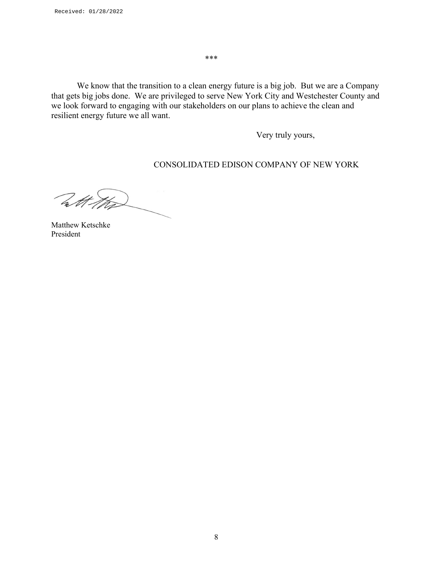⁎⁎⁎

We know that the transition to a clean energy future is a big job. But we are a Company that gets big jobs done. We are privileged to serve New York City and Westchester County and we look forward to engaging with our stakeholders on our plans to achieve the clean and resilient energy future we all want.

Very truly yours,

CONSOLIDATED EDISON COMPANY OF NEW YORK

With the

Matthew Ketschke President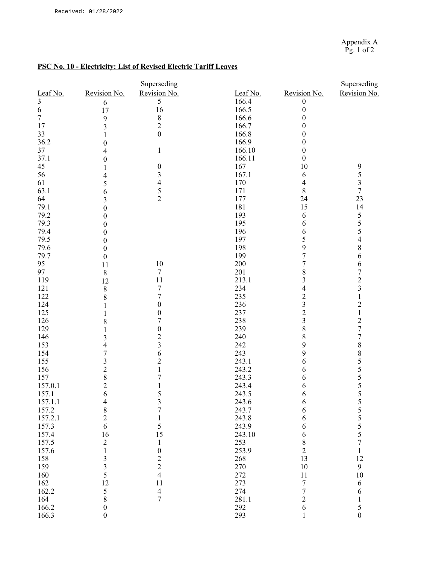### **PSC No. 10 - Electricity: List of Revised Electric Tariff Leaves**

|                         |                  | <b>Superseding</b>      |          |                          | <b>Superseding</b>                         |
|-------------------------|------------------|-------------------------|----------|--------------------------|--------------------------------------------|
| Leaf No.                | Revision No.     | Revision No.            | Leaf No. | Revision No.             | Revision No.                               |
| $\overline{\mathbf{3}}$ | 6                | 5                       | 166.4    | 0                        |                                            |
| 6                       | 17               | 16                      | 166.5    | $\boldsymbol{0}$         |                                            |
| $\overline{7}$          | 9                | 8                       | 166.6    | $\boldsymbol{0}$         |                                            |
| 17                      | 3                | $\overline{2}$          | 166.7    | $\boldsymbol{0}$         |                                            |
| 33                      | $\mathbf{1}$     | $\overline{0}$          | 166.8    | $\boldsymbol{0}$         |                                            |
| 36.2                    | $\boldsymbol{0}$ |                         | 166.9    | $\boldsymbol{0}$         |                                            |
| 37                      | 4                | $\mathbf{1}$            | 166.10   | $\boldsymbol{0}$         |                                            |
| 37.1                    | $\boldsymbol{0}$ |                         | 166.11   | $\boldsymbol{0}$         |                                            |
| 45                      | 1                | 0                       | 167      | 10                       |                                            |
| 56                      | 4                | 3                       | 167.1    | 6                        | $\begin{array}{c} 9 \\ 5 \\ 3 \end{array}$ |
| 61                      | 5                | 4                       | 170      | $\overline{\mathcal{A}}$ |                                            |
| 63.1                    | 6                |                         | 171      | $\,$ $\,$                | $\overline{7}$                             |
| 64                      | 3                | $\frac{5}{2}$           | 177      | 24                       | 23                                         |
| 79.1                    | $\boldsymbol{0}$ |                         | 181      | 15                       | 14                                         |
| 79.2                    | $\theta$         |                         | 193      | 6                        |                                            |
| 79.3                    | $\boldsymbol{0}$ |                         | 195      | 6                        | $\frac{5}{5}$                              |
| 79.4                    | $\boldsymbol{0}$ |                         | 196      | 6                        | 5                                          |
| 79.5                    | $\boldsymbol{0}$ |                         | 197      | 5                        | 4                                          |
| 79.6                    | $\boldsymbol{0}$ |                         | 198      | 9                        | 8                                          |
| 79.7                    | $\boldsymbol{0}$ |                         | 199      | 7                        | 6                                          |
| 95                      | 11               | 10                      | 200      | 7                        | 6                                          |
| 97                      | 8                | $\tau$                  | 201      | 8                        | $\overline{7}$                             |
| 119                     | 12               | 11                      | 213.1    | 3                        |                                            |
| 121                     | 8                | 7                       | 234      | $\overline{\mathcal{L}}$ | $\frac{2}{3}$                              |
| 122                     | 8                | $\overline{7}$          | 235      | $\overline{c}$           | $\mathbf{1}$                               |
| 124                     | 1                | $\boldsymbol{0}$        | 236      | 3                        | $\overline{\mathbf{c}}$                    |
| 125                     | $\mathbf{1}$     | $\boldsymbol{0}$        | 237      | $\overline{c}$           | $\,1$                                      |
| 126                     | 8                | 7                       | 238      | 3                        |                                            |
| 129                     | 1                | $\boldsymbol{0}$        | 239      | 8                        | $\frac{2}{7}$                              |
| 146                     | 3                | $\overline{\mathbf{c}}$ | 240      | 8                        | $\overline{7}$                             |
| 153                     | 4                | 3                       | 242      | 9                        | 8                                          |
| 154                     | $\overline{7}$   | 6                       | 243      | 9                        |                                            |
| 155                     | 3                | $\overline{c}$          | 243.1    | 6                        |                                            |
| 156                     | $\overline{c}$   | $\mathbf 1$             | 243.2    | 6                        |                                            |
| 157                     | 8                | 7                       | 243.3    | 6                        |                                            |
| 157.0.1                 | $\overline{c}$   | $\mathbf 1$             | 243.4    | 6                        | $855$<br>5555                              |
| 157.1                   | 6                | 5                       | 243.5    | 6                        | 5                                          |
| 157.1.1                 | $\overline{4}$   |                         | 243.6    | 6                        |                                            |
| 157.2                   | $\,$ $\,$        | $\frac{3}{7}$           | 243.7    | 6                        |                                            |
| 157.2.1                 | $\overline{c}$   | $\mathbf{1}$            | 243.8    | 6                        | 555557                                     |
| 157.3                   | 6                | 5                       | 243.9    | 6                        |                                            |
| 157.4                   | 16               | 15                      | 243.10   | 6                        |                                            |
| 157.5                   | 2                | $\mathbf{1}$            | 253      | $8\,$                    |                                            |
| 157.6                   | $\mathbf{1}$     | $\boldsymbol{0}$        | 253.9    | $\overline{2}$           | $\mathbf{1}$                               |
| 158                     | 3                | $\overline{c}$          | 268      | 13                       | 12                                         |
| 159                     | 3                | $\overline{2}$          | 270      | 10                       | $\mathbf{9}$                               |
| 160                     | 5                | $\overline{4}$          | 272      | 11                       | 10                                         |
| 162                     | 12               | 11                      | 273      | $\overline{7}$           | $\boldsymbol{6}$                           |
| 162.2                   | 5                | $\overline{4}$          | 274      | $\boldsymbol{7}$         | 6                                          |
| 164                     | 8                | $\overline{7}$          | 281.1    | $\overline{c}$           | $\mathbf 1$                                |
| 166.2                   | $\boldsymbol{0}$ |                         | 292      | 6                        | 5                                          |
| 166.3                   | $\boldsymbol{0}$ |                         | 293      | $\mathbf{1}$             | $\boldsymbol{0}$                           |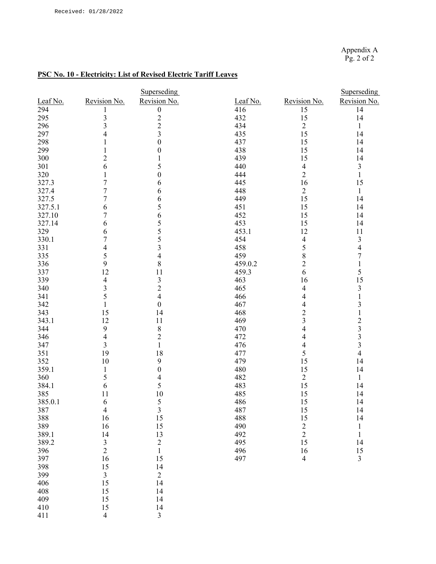Appendix A Pg. 2 of 2

### **PSC No. 10 - Electricity: List of Revised Electric Tariff Leaves**

|          |                         | Superseding             |          |                         | Superseding                                     |
|----------|-------------------------|-------------------------|----------|-------------------------|-------------------------------------------------|
| Leaf No. | Revision No.            | Revision No.            | Leaf No. | Revision No.            | Revision No.                                    |
| 294      | 1                       | $\boldsymbol{0}$        | 416      | 15                      | 14                                              |
| 295      | 3                       |                         | 432      | 15                      | 14                                              |
| 296      | $\overline{\mathbf{3}}$ | $\frac{2}{3}$           | 434      | $\sqrt{2}$              | $\mathbf{1}$                                    |
| 297      | 4                       |                         | 435      | 15                      | 14                                              |
| 298      | $\mathbf{1}$            | $\boldsymbol{0}$        | 437      | 15                      | 14                                              |
| 299      | 1                       | $\boldsymbol{0}$        | 438      | 15                      | 14                                              |
| 300      | $\overline{c}$          | 1                       | 439      | 15                      | 14                                              |
| 301      | 6                       | 5                       | 440      | $\overline{4}$          | 3                                               |
| 320      | 1                       | $\boldsymbol{0}$        | 444      | $\overline{2}$          | $\mathbf{1}$                                    |
| 327.3    | $\overline{7}$          | 6                       | 445      | 16                      | 15                                              |
| 327.4    | $\sqrt{ }$              | 6                       | 448      | $\sqrt{2}$              | $\mathbf{1}$                                    |
| 327.5    | 7                       | 6                       | 449      | 15                      | 14                                              |
| 327.5.1  | 6                       | 5                       | 451      | 15                      | 14                                              |
| 327.10   | 7                       | 6                       | 452      | 15                      | 14                                              |
| 327.14   | 6                       | 5                       | 453      | 15                      | 14                                              |
| 329      | 6                       | 5                       | 453.1    | 12                      | 11                                              |
| 330.1    | 7                       | 5                       | 454      | 4                       | 3                                               |
| 331      | 4                       | $\overline{\mathbf{3}}$ | 458      | 5                       | $\overline{4}$                                  |
| 335      | 5                       | $\overline{\mathbf{4}}$ | 459      | $\,$ $\,$               | $\overline{7}$                                  |
| 336      | 9                       | 8                       | 459.0.2  | $\overline{c}$          | $\,1$                                           |
| 337      | 12                      | 11                      | 459.3    | 6                       | 5                                               |
| 339      | $\overline{4}$          | $\overline{\mathbf{3}}$ | 463      | 16                      | 15                                              |
| 340      | 3                       | $\overline{c}$          | 465      | 4                       | $\overline{\mathbf{3}}$                         |
| 341      | 5                       | $\overline{\mathbf{4}}$ | 466      | 4                       | $\,1$                                           |
| 342      | $\mathbf{1}$            | $\boldsymbol{0}$        | 467      | 4                       | $\overline{\mathbf{3}}$                         |
| 343      | 15                      | 14                      | 468      | $\overline{c}$          | $\mathbf{1}$                                    |
| 343.1    | 12                      | 11                      | 469      | $\overline{\mathbf{3}}$ |                                                 |
| 344      | 9                       | $8\,$                   | 470      | $\overline{4}$          |                                                 |
| 346      | $\overline{4}$          | $\overline{2}$          | 472      | 4                       |                                                 |
| 347      | 3                       | $\mathbf{1}$            | 476      | 4                       | $\begin{array}{c} 2 \\ 3 \\ 3 \\ 3 \end{array}$ |
| 351      | 19                      | 18                      | 477      | 5                       | $\overline{4}$                                  |
| 352      | 10                      | $\boldsymbol{9}$        | 479      | 15                      | 14                                              |
| 359.1    | $\mathbf{1}$            | $\boldsymbol{0}$        | 480      | 15                      | 14                                              |
| 360      | 5                       | $\overline{\mathbf{4}}$ | 482      | $\boldsymbol{2}$        | $\mathbf{1}$                                    |
| 384.1    | 6                       | 5                       | 483      | 15                      | 14                                              |
| 385      | 11                      | 10                      | 485      | 15                      | 14                                              |
| 385.0.1  | 6                       | 5                       | 486      | 15                      | 14                                              |
| 387      | $\overline{4}$          | $\mathfrak{Z}$          | 487      | 15                      | 14                                              |
| 388      | 16                      | 15                      | 488      | 15                      | 14                                              |
|          | 16                      |                         | 490      |                         |                                                 |
| 389      |                         | 15                      |          | $\frac{2}{2}$           | $\,1$                                           |
| 389.1    | 14                      | 13                      | 492      |                         | $\mathbf{1}$                                    |
| 389.2    | $\frac{3}{2}$           | $\overline{c}$          | 495      | 15                      | 14                                              |
| 396      |                         | $\mathbf{1}$            | 496      | 16                      | 15                                              |
| 397      | 16                      | 15                      | 497      | $\overline{4}$          | $\overline{\mathbf{3}}$                         |
| 398      | 15                      | 14                      |          |                         |                                                 |
| 399      | $\mathfrak{Z}$          | $\mathfrak{2}$          |          |                         |                                                 |
| 406      | 15                      | 14                      |          |                         |                                                 |
| 408      | 15                      | 14                      |          |                         |                                                 |
| 409      | 15                      | 14                      |          |                         |                                                 |
| 410      | 15                      | 14                      |          |                         |                                                 |
| 411      | $\overline{4}$          | $\mathfrak{Z}$          |          |                         |                                                 |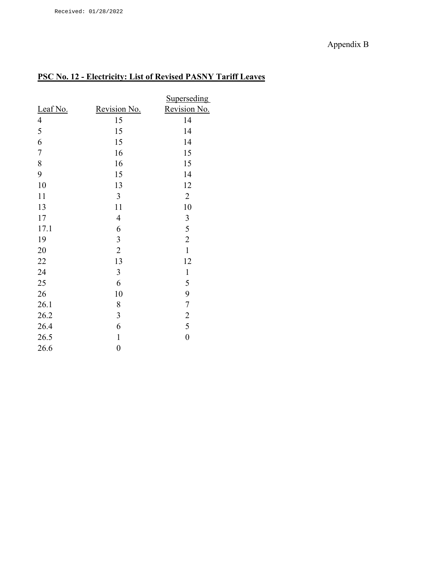# Appendix B

# **PSC No. 12 - Electricity: List of Revised PASNY Tariff Leaves**

|            |                  | Superseding      |
|------------|------------------|------------------|
| Leaf No.   | Revision No.     | Revision No.     |
| 4          | 15               | 14               |
| 5          | 15               | 14               |
| 6          | 15               | 14               |
| $\sqrt{ }$ | 16               | 15               |
| 8          | 16               | 15               |
| 9          | 15               | 14               |
| 10         | 13               | 12               |
| 11         | 3                | $\overline{2}$   |
| 13         | 11               | 10               |
| 17         | $\overline{4}$   | 3                |
| 17.1       | 6                | 5                |
| 19         | 3                | $\overline{2}$   |
| 20         | $\overline{2}$   | $\mathbf{1}$     |
| 22         | 13               | 12               |
| 24         | 3                | $\mathbf{1}$     |
| 25         | 6                | 5                |
| 26         | 10               | 9                |
| 26.1       | 8                | $\boldsymbol{7}$ |
| 26.2       | 3                | $\overline{2}$   |
| 26.4       | 6                | 5                |
| 26.5       | $\mathbf{1}$     | $\boldsymbol{0}$ |
| 26.6       | $\boldsymbol{0}$ |                  |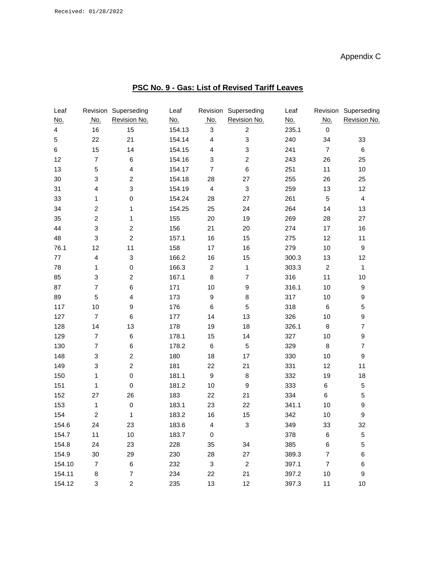# Appendix C

| PSC No. 9 - Gas: List of Revised Tariff Leaves |
|------------------------------------------------|
|------------------------------------------------|

| Leaf                    | Revision                  | Superseding             | Leaf       | Revision                  | Superseding               | Leaf       |                | Revision Superseding |
|-------------------------|---------------------------|-------------------------|------------|---------------------------|---------------------------|------------|----------------|----------------------|
| <u>No.</u>              | <u>No.</u>                | Revision No.            | <u>No.</u> | <u>No.</u>                | Revision No.              | <u>No.</u> | <u>No.</u>     | Revision No.         |
| $\overline{\mathbf{4}}$ | 16                        | 15                      | 154.13     | $\sqrt{3}$                | $\overline{c}$            | 235.1      | $\pmb{0}$      |                      |
| 5                       | 22                        | 21                      | 154.14     | $\overline{4}$            | $\ensuremath{\mathsf{3}}$ | 240        | 34             | 33                   |
| 6                       | 15                        | 14                      | 154.15     | 4                         | $\ensuremath{\mathsf{3}}$ | 241        | $\overline{7}$ | 6                    |
| 12                      | $\overline{7}$            | $\,6$                   | 154.16     | $\ensuremath{\mathsf{3}}$ | $\boldsymbol{2}$          | 243        | 26             | 25                   |
| 13                      | $\mathbf 5$               | $\overline{\mathbf{4}}$ | 154.17     | $\overline{7}$            | $\,6$                     | 251        | 11             | $10$                 |
| 30                      | $\ensuremath{\mathsf{3}}$ | $\overline{c}$          | 154.18     | 28                        | 27                        | 255        | 26             | 25                   |
| 31                      | $\overline{\mathbf{4}}$   | 3                       | 154.19     | $\overline{4}$            | $\ensuremath{\mathsf{3}}$ | 259        | 13             | 12                   |
| 33                      | $\mathbf{1}$              | $\mathsf{O}\xspace$     | 154.24     | 28                        | 27                        | 261        | $\sqrt{5}$     | $\overline{4}$       |
| 34                      | $\boldsymbol{2}$          | $\mathbf{1}$            | 154.25     | 25                        | 24                        | 264        | 14             | 13                   |
| 35                      | $\overline{c}$            | 1                       | 155        | 20                        | 19                        | 269        | 28             | 27                   |
| 44                      | $\ensuremath{\mathsf{3}}$ | $\overline{\mathbf{c}}$ | 156        | 21                        | 20                        | 274        | 17             | 16                   |
| 48                      | $\ensuremath{\mathsf{3}}$ | $\overline{c}$          | 157.1      | 16                        | 15                        | 275        | 12             | 11                   |
| 76.1                    | 12                        | 11                      | 158        | 17                        | 16                        | 279        | 10             | $\boldsymbol{9}$     |
| 77                      | $\overline{\mathbf{4}}$   | 3                       | 166.2      | 16                        | 15                        | 300.3      | 13             | 12                   |
| 78                      | $\mathbf{1}$              | $\pmb{0}$               | 166.3      | $\overline{c}$            | $\mathbf{1}$              | 303.3      | $\overline{c}$ | $\mathbf{1}$         |
| 85                      | $\ensuremath{\mathsf{3}}$ | $\overline{\mathbf{c}}$ | 167.1      | 8                         | $\overline{\mathcal{I}}$  | 316        | 11             | $10$                 |
| 87                      | $\overline{\mathcal{I}}$  | 6                       | 171        | 10                        | $\boldsymbol{9}$          | 316.1      | $10$           | $\boldsymbol{9}$     |
| 89                      | $\mathbf 5$               | $\overline{\mathbf{4}}$ | 173        | $\boldsymbol{9}$          | $\bf8$                    | 317        | 10             | $\boldsymbol{9}$     |
| 117                     | 10                        | 9                       | 176        | $\,6$                     | 5                         | 318        | 6              | 5                    |
| 127                     | $\overline{7}$            | $\,6$                   | 177        | 14                        | 13                        | 326        | 10             | 9                    |
| 128                     | 14                        | 13                      | 178        | 19                        | 18                        | 326.1      | 8              | $\boldsymbol{7}$     |
| 129                     | $\overline{\mathcal{I}}$  | $\,6$                   | 178.1      | 15                        | 14                        | 327        | $10$           | $\boldsymbol{9}$     |
| 130                     | $\overline{\mathcal{I}}$  | $\,6$                   | 178.2      | $\,6$                     | $\mathbf 5$               | 329        | $\bf8$         | $\overline{7}$       |
| 148                     | $\ensuremath{\mathsf{3}}$ | $\overline{\mathbf{c}}$ | 180        | 18                        | 17                        | 330        | 10             | $\boldsymbol{9}$     |
| 149                     | 3                         | $\overline{c}$          | 181        | 22                        | 21                        | 331        | 12             | 11                   |
| 150                     | 1                         | $\pmb{0}$               | 181.1      | $\boldsymbol{9}$          | 8                         | 332        | 19             | 18                   |
| 151                     | 1                         | $\pmb{0}$               | 181.2      | $10$                      | $\boldsymbol{9}$          | 333        | 6              | $\sqrt{5}$           |
| 152                     | 27                        | 26                      | 183        | 22                        | 21                        | 334        | 6              | 5                    |
| 153                     | $\mathbf{1}$              | $\pmb{0}$               | 183.1      | 23                        | 22                        | 341.1      | 10             | 9                    |
| 154                     | $\boldsymbol{2}$          | 1                       | 183.2      | 16                        | 15                        | 342        | 10             | $\boldsymbol{9}$     |
| 154.6                   | 24                        | 23                      | 183.6      | $\Lambda$                 | $\ensuremath{\mathsf{3}}$ | 349        | 33             | 32                   |
| 154.7                   | 11                        | 10                      | 183.7      | 0                         |                           | 378        | 6              | $\mathbf 5$          |
| 154.8                   | 24                        | 23                      | 228        | 35                        | 34                        | 385        | $\,6$          | 5                    |
| 154.9                   | 30                        | 29                      | 230        | 28                        | 27                        | 389.3      | $\overline{7}$ | 6                    |
| 154.10                  | $\overline{7}$            | 6                       | 232        | $\ensuremath{\mathsf{3}}$ | $\boldsymbol{2}$          | 397.1      | $\overline{7}$ | 6                    |
| 154.11                  | 8                         | $\overline{7}$          | 234        | 22                        | 21                        | 397.2      | 10             | 9                    |
| 154.12                  | 3                         | $\overline{c}$          | 235        | 13                        | 12                        | 397.3      | 11             | 10                   |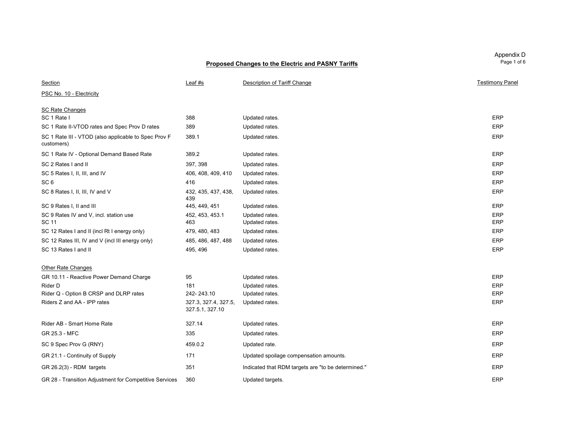| Section                                                            | Leaf #s                                 | Description of Tariff Change                       | <b>Testimony Pane</b> |
|--------------------------------------------------------------------|-----------------------------------------|----------------------------------------------------|-----------------------|
| PSC No. 10 - Electricity                                           |                                         |                                                    |                       |
| <b>SC Rate Changes</b>                                             |                                         |                                                    |                       |
| SC 1 Rate I                                                        | 388                                     | Updated rates.                                     | ERP                   |
| SC 1 Rate II-VTOD rates and Spec Prov D rates                      | 389                                     | Updated rates.                                     | ERP                   |
| SC 1 Rate III - VTOD (also applicable to Spec Prov F<br>customers) | 389.1                                   | Updated rates.                                     | ERP                   |
| SC 1 Rate IV - Optional Demand Based Rate                          | 389.2                                   | Updated rates.                                     | ERP                   |
| SC 2 Rates I and II                                                | 397, 398                                | Updated rates.                                     | ERP                   |
| SC 5 Rates I, II, III, and IV                                      | 406, 408, 409, 410                      | Updated rates.                                     | <b>ERP</b>            |
| SC <sub>6</sub>                                                    | 416                                     | Updated rates.                                     | ERP                   |
| SC 8 Rates I, II, III, IV and V                                    | 432, 435, 437, 438,<br>439              | Updated rates.                                     | ERP                   |
| SC 9 Rates I, II and III                                           | 445, 449, 451                           | Updated rates.                                     | ERP                   |
| SC 9 Rates IV and V, incl. station use<br><b>SC 11</b>             | 452, 453, 453.1<br>463                  | Updated rates.<br>Updated rates.                   | ERP<br>ERP            |
| SC 12 Rates I and II (incl Rt I energy only)                       | 479, 480, 483                           | Updated rates.                                     | ERP                   |
| SC 12 Rates III, IV and V (incl III energy only)                   | 485, 486, 487, 488                      | Updated rates.                                     | ERP                   |
| SC 13 Rates I and II                                               | 495, 496                                | Updated rates.                                     | ERP                   |
| <b>Other Rate Changes</b>                                          |                                         |                                                    |                       |
| GR 10.11 - Reactive Power Demand Charge                            | 95                                      | Updated rates.                                     | ERP                   |
| Rider D                                                            | 181                                     | Updated rates.                                     | ERP                   |
| Rider Q - Option B CRSP and DLRP rates                             | 242-243.10                              | Updated rates.                                     | ERP                   |
| Riders Z and AA - IPP rates                                        | 327.3, 327.4, 327.5,<br>327.5.1, 327.10 | Updated rates.                                     | ERP                   |
| Rider AB - Smart Home Rate                                         | 327.14                                  | Updated rates.                                     | ERP                   |
| GR 25.3 - MFC                                                      | 335                                     | Updated rates.                                     | <b>ERP</b>            |
| SC 9 Spec Prov G (RNY)                                             | 459.0.2                                 | Updated rate.                                      | ERP                   |
| GR 21.1 - Continuity of Supply                                     | 171                                     | Updated spoilage compensation amounts.             | <b>ERP</b>            |
| $GR$ 26.2(3) - RDM targets                                         | 351                                     | Indicated that RDM targets are "to be determined." | ERP                   |
| GR 28 - Transition Adjustment for Competitive Services             | 360                                     | Updated targets.                                   | ERP                   |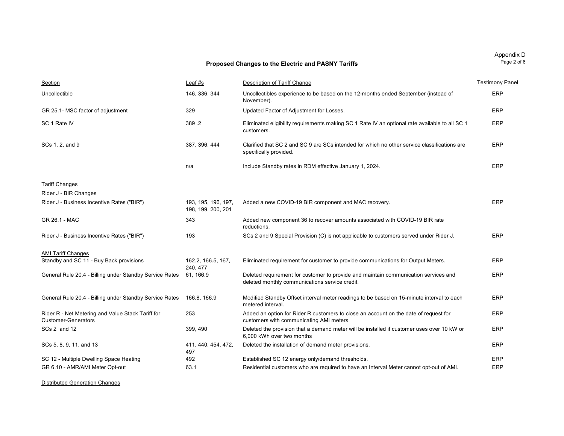| Appendix D  |
|-------------|
| Page 2 of 6 |

| Section                                                                         | Leaf #s                                   | Description of Tariff Change                                                                                                          | <b>Testimony Pane</b> |
|---------------------------------------------------------------------------------|-------------------------------------------|---------------------------------------------------------------------------------------------------------------------------------------|-----------------------|
| Uncollectible                                                                   | 146, 336, 344                             | Uncollectibles experience to be based on the 12-months ended September (instead of<br>November).                                      | ERP                   |
| GR 25.1- MSC factor of adjustment                                               | 329                                       | Updated Factor of Adjustment for Losses.                                                                                              | ERP                   |
| SC 1 Rate IV                                                                    | 389.2                                     | Eliminated eligibility requirements making SC 1 Rate IV an optional rate available to all SC 1<br>customers.                          | ERP                   |
| SCs 1, 2, and 9                                                                 | 387, 396, 444                             | Clarified that SC 2 and SC 9 are SCs intended for which no other service classifications are<br>specifically provided.                | ERP                   |
|                                                                                 | n/a                                       | Include Standby rates in RDM effective January 1, 2024.                                                                               | ERP                   |
| <b>Tariff Changes</b>                                                           |                                           |                                                                                                                                       |                       |
| Rider J - BIR Changes                                                           |                                           |                                                                                                                                       |                       |
| Rider J - Business Incentive Rates ("BIR")                                      | 193, 195, 196, 197,<br>198, 199, 200, 201 | Added a new COVID-19 BIR component and MAC recovery.                                                                                  | ERP                   |
| GR 26.1 - MAC                                                                   | 343                                       | Added new component 36 to recover amounts associated with COVID-19 BIR rate<br>reductions.                                            |                       |
| Rider J - Business Incentive Rates ("BIR")                                      | 193                                       | SCs 2 and 9 Special Provision (C) is not applicable to customers served under Rider J.                                                | ERP                   |
| <b>AMI Tariff Changes</b>                                                       |                                           |                                                                                                                                       |                       |
| Standby and SC 11 - Buy Back provisions                                         | 162.2, 166.5, 167,<br>240.477             | Eliminated requirement for customer to provide communications for Output Meters.                                                      | ERP                   |
| General Rule 20.4 - Billing under Standby Service Rates                         | 61, 166.9                                 | Deleted requirement for customer to provide and maintain communication services and<br>deleted monthly communications service credit. | ERP                   |
| General Rule 20.4 - Billing under Standby Service Rates                         | 166.8, 166.9                              | Modified Standby Offset interval meter readings to be based on 15-minute interval to each<br>metered interval.                        | ERP                   |
| Rider R - Net Metering and Value Stack Tariff for<br><b>Customer-Generators</b> | 253                                       | Added an option for Rider R customers to close an account on the date of request for<br>customers with communicating AMI meters.      | ERP                   |
| SCs 2 and 12                                                                    | 399, 490                                  | Deleted the provision that a demand meter will be installed if customer uses over 10 kW or<br>6.000 kWh over two months               | ERP                   |
| SCs 5, 8, 9, 11, and 13                                                         | 411, 440, 454, 472,<br>497                | Deleted the installation of demand meter provisions.                                                                                  | ERP                   |
| SC 12 - Multiple Dwelling Space Heating                                         | 492                                       | Established SC 12 energy only/demand thresholds.                                                                                      | ERP                   |
| GR 6.10 - AMR/AMI Meter Opt-out                                                 | 63.1                                      | Residential customers who are required to have an Interval Meter cannot opt-out of AMI.                                               | <b>ERP</b>            |

Distributed Generation Changes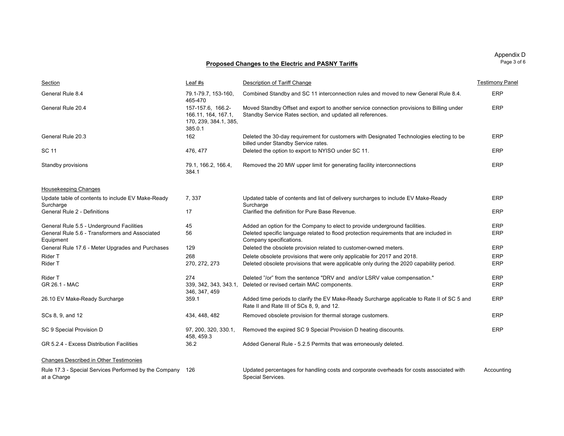| Section                                                                                                  | Leaf #s                                                                      | Description of Tariff Change                                                                                                                                                                      | <b>Testimony Pane</b> |
|----------------------------------------------------------------------------------------------------------|------------------------------------------------------------------------------|---------------------------------------------------------------------------------------------------------------------------------------------------------------------------------------------------|-----------------------|
| General Rule 8.4                                                                                         | 79.1-79.7, 153-160,<br>465-470                                               | Combined Standby and SC 11 interconnection rules and moved to new General Rule 8.4.                                                                                                               | ERP                   |
| General Rule 20.4                                                                                        | 157-157.6, 166.2-<br>166.11, 164, 167.1,<br>170, 239, 384.1, 385,<br>385.0.1 | Moved Standby Offset and export to another service connection provisions to Billing under<br>Standby Service Rates section, and updated all references.                                           | ERP                   |
| General Rule 20.3                                                                                        | 162                                                                          | Deleted the 30-day requirement for customers with Designated Technologies electing to be<br>billed under Standby Service rates.                                                                   | ERP                   |
| SC 11                                                                                                    | 476, 477                                                                     | Deleted the option to export to NYISO under SC 11.                                                                                                                                                | ERP                   |
| Standby provisions                                                                                       | 79.1, 166.2, 166.4,<br>384.1                                                 | Removed the 20 MW upper limit for generating facility interconnections                                                                                                                            | <b>ERP</b>            |
| Housekeeping Changes                                                                                     |                                                                              |                                                                                                                                                                                                   |                       |
| Update table of contents to include EV Make-Ready<br>Surcharge                                           | 7,337                                                                        | Updated table of contents and list of delivery surcharges to include EV Make-Ready<br>Surcharge                                                                                                   | ERP                   |
| General Rule 2 - Definitions                                                                             | 17                                                                           | Clarified the definition for Pure Base Revenue.                                                                                                                                                   | ERP                   |
| General Rule 5.5 - Underground Facilities<br>General Rule 5.6 - Transformers and Associated<br>Equipment | 45<br>56                                                                     | Added an option for the Company to elect to provide underground facilities.<br>Deleted specific language related to flood protection requirements that are included in<br>Company specifications. | ERP<br>ERP            |
| General Rule 17.6 - Meter Upgrades and Purchases                                                         | 129                                                                          | Deleted the obsolete provision related to customer-owned meters.                                                                                                                                  | ERP                   |
| Rider T<br>Rider T                                                                                       | 268<br>270, 272, 273                                                         | Delete obsolete provisions that were only applicable for 2017 and 2018.<br>Deleted obsolete provisions that were applicable only during the 2020 capability period.                               | ERP<br>ERP            |
| Rider T<br>GR 26.1 - MAC                                                                                 | 274<br>339, 342, 343, 343.1,<br>346, 347, 459                                | Deleted "/or" from the sentence "DRV and and/or LSRV value compensation."<br>Deleted or revised certain MAC components.                                                                           | ERP<br>ERP            |
| 26.10 EV Make-Ready Surcharge                                                                            | 359.1                                                                        | Added time periods to clarify the EV Make-Ready Surcharge applicable to Rate II of SC 5 and<br>Rate II and Rate III of SCs 8, 9, and 12.                                                          | ERP                   |
| SCs 8, 9, and 12                                                                                         | 434, 448, 482                                                                | Removed obsolete provision for thermal storage customers.                                                                                                                                         | ERP                   |
| SC 9 Special Provision D                                                                                 | 97, 200, 320, 330.1,<br>458, 459.3                                           | Removed the expired SC 9 Special Provision D heating discounts.                                                                                                                                   | ERP                   |
| GR 5.2.4 - Excess Distribution Facilities                                                                | 36.2                                                                         | Added General Rule - 5.2.5 Permits that was erroneously deleted.                                                                                                                                  |                       |
| <b>Changes Described in Other Testimonies</b>                                                            |                                                                              |                                                                                                                                                                                                   |                       |

Rule 17.3 - Special Services Performed by the Company at a Charge

126 Updated percentages for handling costs and corporate overheads for costs associated with Special Services. Accounting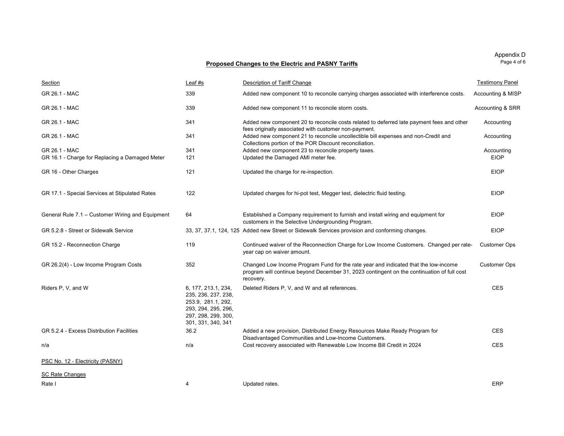| Section                                          | Leaf #s                                                                                                                              | Description of Tariff Change                                                                                                                                                                   | <b>Testimony Panel</b> |
|--------------------------------------------------|--------------------------------------------------------------------------------------------------------------------------------------|------------------------------------------------------------------------------------------------------------------------------------------------------------------------------------------------|------------------------|
| GR 26.1 - MAC                                    | 339                                                                                                                                  | Added new component 10 to reconcile carrying charges associated with interference costs.                                                                                                       | Accounting & MISP      |
| GR 26.1 - MAC                                    | 339                                                                                                                                  | Added new component 11 to reconcile storm costs.                                                                                                                                               | Accounting & SRR       |
| GR 26.1 - MAC                                    | 341                                                                                                                                  | Added new component 20 to reconcile costs related to deferred late payment fees and other<br>fees originally associated with customer non-payment.                                             | Accounting             |
| GR 26.1 - MAC                                    | 341                                                                                                                                  | Added new component 21 to reconcile uncollectible bill expenses and non-Credit and<br>Collections portion of the POR Discount reconciliation.                                                  | Accounting             |
| GR 26.1 - MAC                                    | 341                                                                                                                                  | Added new component 23 to reconcile property taxes.                                                                                                                                            | Accounting             |
| GR 16.1 - Charge for Replacing a Damaged Meter   | 121                                                                                                                                  | Updated the Damaged AMI meter fee.                                                                                                                                                             | <b>EIOP</b>            |
| GR 16 - Other Charges                            | 121                                                                                                                                  | Updated the charge for re-inspection.                                                                                                                                                          | <b>EIOP</b>            |
| GR 17.1 - Special Services at Stipulated Rates   | 122                                                                                                                                  | Updated charges for hi-pot test, Megger test, dielectric fluid testing.                                                                                                                        | <b>EIOP</b>            |
| General Rule 7.1 - Customer Wiring and Equipment | 64                                                                                                                                   | Established a Company requirement to furnish and install wiring and equipment for<br>customers in the Selective Undergrounding Program.                                                        | <b>EIOP</b>            |
| GR 5.2.8 - Street or Sidewalk Service            |                                                                                                                                      | 33, 37, 37.1, 124, 125 Added new Street or Sidewalk Services provision and conforming changes.                                                                                                 | <b>EIOP</b>            |
| GR 15.2 - Reconnection Charge                    | 119                                                                                                                                  | Continued waiver of the Reconnection Charge for Low Income Customers. Changed per rate-<br>year cap on waiver amount.                                                                          | <b>Customer Ops</b>    |
| GR 26.2(4) - Low Income Program Costs            | 352                                                                                                                                  | Changed Low Income Program Fund for the rate year and indicated that the low-income<br>program will continue beyond December 31, 2023 contingent on the continuation of full cost<br>recovery. | <b>Customer Ops</b>    |
| Riders P, V, and W                               | 6, 177, 213.1, 234,<br>235, 236, 237, 238,<br>253.9, 281.1, 292,<br>293, 294, 295, 296,<br>297, 298, 299, 300,<br>301, 331, 340, 341 | Deleted Riders P, V, and W and all references.                                                                                                                                                 | <b>CES</b>             |
| GR 5.2.4 - Excess Distribution Facilities        | 36.2                                                                                                                                 | Added a new provision, Distributed Energy Resources Make Ready Program for<br>Disadvantaged Communities and Low-Income Customers.                                                              | <b>CES</b>             |
| n/a                                              | n/a                                                                                                                                  | Cost recovery associated with Renewable Low Income Bill Credit in 2024                                                                                                                         | <b>CES</b>             |
| PSC No. 12 - Electricity (PASNY)                 |                                                                                                                                      |                                                                                                                                                                                                |                        |
| <b>SC Rate Changes</b>                           |                                                                                                                                      |                                                                                                                                                                                                |                        |
| Rate I                                           | 4                                                                                                                                    | Updated rates.                                                                                                                                                                                 | <b>ERP</b>             |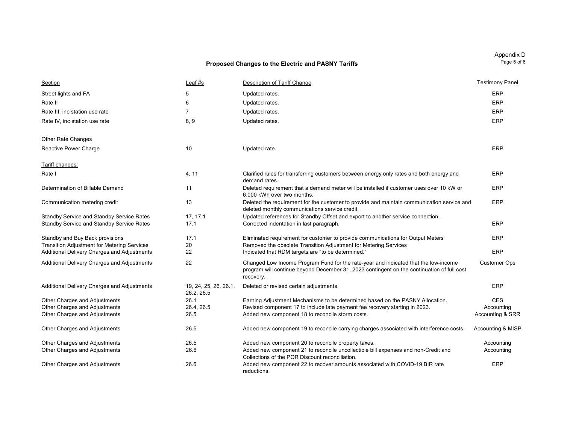| Appendix D  |
|-------------|
| Page 5 of 6 |

Section Leaf #s Description of Tariff Change Testimony Panel Street lights and FA 5 5 Updated rates. ERP Rate II 6 Updated rates. ERP Rate III, inc station use rate **Fig. 2.1 Contract a Contract Contract Contract Contract Contract Contract Contract Contract CONSUMERP** Rate IV, inc station use rate **8, 9** Club and the Updated rates. ERP and the station user at the station user at the station of the station of the station user at the station of the station of the station of the station of Other Rate Changes Reactive Power Charge **10** 2008 10 Updated rate. ERP 2008 10 Updated rate. Tariff changes: Rate I 4, 11 4, 11 Clarified rules for transferring customers between energy only rates and both energy and demand rates.ERPDetermination of Billable Demand 11 1 1 Deleted requirement that a demand meter will be installed if customer uses over 10 kW or 6,000 kWh over two months. ERPCommunication metering credit 13 13 Deleted the requirement for the customer to provide and maintain communication service and deleted monthly communications service credit. ERPStandby Service and Standby Service Rates 17, 17.1 Updated references for Standby Offset and export to another service connection. Standby Service and Standby Service Rates 17.1 Corrected indentation in last paragraph. ERP Standby and Buy Back provisions The Communications of the Communications for Output Meters ERP Communications for Output Meters ERP Transition Adjustment for Metering Services 20 Removed the obsolete Transition Adjustment for Metering Services Additional Delivery Charges and Adjustments 22 **Indicated that RDM targets are "to be determined."** ERP Additional Delivery Charges and Adjustments 22 Changed Low Income Program Fund for the rate-year and indicated that the low-income program will continue beyond December 31, 2023 contingent on the continuation of full cost recovery. Customer Ops Additional Delivery Charges and Adjustments 19, 24, 25, 26, 26.1, 26.2, 26.5 Deleted or revised certain adjustments. ERP Other Charges and Adjustments 26.1 Earning Adjustment Mechanisms to be determined based on the PASNY Allocation. CES Other Charges and Adjustments 26.4, 26.5 Revised component 17 to include late payment fee recovery starting in 2023. Accounting Other Charges and Adjustments 26.5 2005 2006 2007 Added new component 18 to reconcile storm costs. Other Charges and Adjustments **26.5** 26.5 Added new component 19 to reconcile carrying charges associated with interference costs. Accounting & MISP Other Charges and Adjustments **26.5** 26.5 Added new component 20 to reconcile property taxes. Accounting Accounting Other Charges and Adjustments 2008 26.6 Added new component 21 to reconcile uncollectible bill expenses and non-Credit and Collections of the POR Discount reconciliation.Accounting Other Charges and Adjustments 26.6 Added new component 22 to recover amounts associated with COVID-19 BIR rate reductions.ERP

Page 5 of 6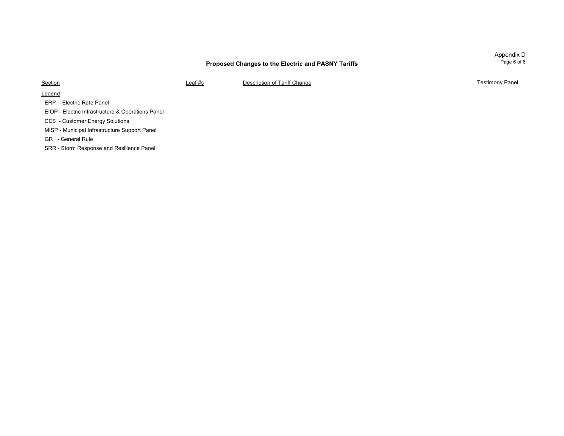Appendix D Page 6 of 6

**Section** 

Leaf #s **Description of Tariff Change Testimony Panel Testimony Panel** 

Legend

ERP - Electric Rate Panel

EIOP - Electric Infrastructure & Operations Panel

CES - Customer Energy Solutions

MISP - Municipal Infrastructure Support Panel

GR - General Rule

SRR - Storm Response and Resilience Panel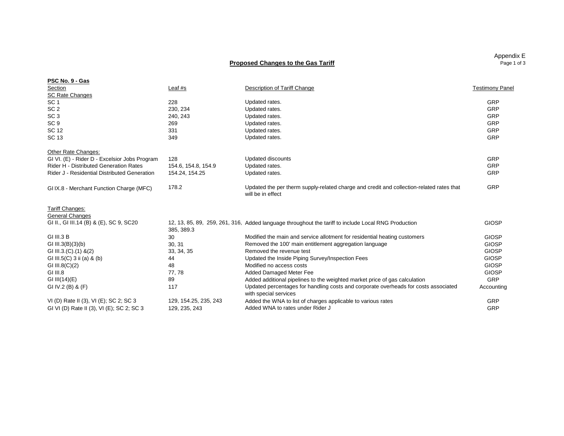#### **Proposed Changes to the Gas Tariff**

| PSC No. 9 - Gas                               |                       |                                                                                                               |                        |
|-----------------------------------------------|-----------------------|---------------------------------------------------------------------------------------------------------------|------------------------|
| Section                                       | Leaf $#s$             | Description of Tariff Change                                                                                  | <b>Testimony Panel</b> |
| <b>SC Rate Changes</b>                        |                       |                                                                                                               |                        |
| SC <sub>1</sub>                               | 228                   | Updated rates.                                                                                                | GRP                    |
| SC <sub>2</sub>                               | 230.234               | Updated rates.                                                                                                | GRP                    |
| SC <sub>3</sub>                               | 240, 243              | Updated rates.                                                                                                | GRP                    |
| SC <sub>9</sub>                               | 269                   | Updated rates.                                                                                                | GRP                    |
| SC 12                                         | 331                   | Updated rates.                                                                                                | GRP                    |
| <b>SC 13</b>                                  | 349                   | Updated rates.                                                                                                | GRP                    |
| Other Rate Changes:                           |                       |                                                                                                               |                        |
| GI VI. (E) - Rider D - Excelsior Jobs Program | 128                   | Updated discounts                                                                                             | GRP                    |
| Rider H - Distributed Generation Rates        | 154.6. 154.8. 154.9   | Updated rates.                                                                                                | GRP                    |
| Rider J - Residential Distributed Generation  | 154.24, 154.25        | Updated rates.                                                                                                | GRP                    |
| GIIX.8 - Merchant Function Charge (MFC)       | 178.2                 | Updated the per therm supply-related charge and credit and collection-related rates that<br>will be in effect | GRP                    |
| Tariff Changes:                               |                       |                                                                                                               |                        |
| <b>General Changes</b>                        |                       |                                                                                                               |                        |
| GI II., GI III.14 (B) & (E), SC 9, SC20       | 385, 389.3            | 12, 13, 85, 89, 259, 261, 316, Added language throughout the tariff to include Local RNG Production           | <b>GIOSP</b>           |
| <b>GI III.3 B</b>                             | 30                    | Modified the main and service allotment for residential heating customers                                     | <b>GIOSP</b>           |
| GI III.3 $(B)(3)(b)$                          | 30, 31                | Removed the 100' main entitlement aggregation language                                                        | <b>GIOSP</b>           |
| GI III.3.(C).(1) &(2)                         | 33, 34, 35            | Removed the revenue test                                                                                      | <b>GIOSP</b>           |
| GI III.5(C) 3 ii (a) & (b)                    | 44                    | Updated the Inside Piping Survey/Inspection Fees                                                              | <b>GIOSP</b>           |
| GI III.8 $(C)(2)$                             | 48                    | Modified no access costs                                                                                      | <b>GIOSP</b>           |
| GI III.8                                      | 77,78                 | <b>Added Damaged Meter Fee</b>                                                                                | <b>GIOSP</b>           |
| GI III $(14)(E)$                              | 89                    | Added additional pipelines to the weighted market price of gas calculation                                    | GRP                    |
| GI IV.2 (B) & $(F)$                           | 117                   | Updated percentages for handling costs and corporate overheads for costs associated<br>with special services  | Accounting             |
| VI (D) Rate II (3), VI (E); SC 2; SC 3        | 129, 154.25, 235, 243 | Added the WNA to list of charges applicable to various rates                                                  | GRP                    |
| GI VI (D) Rate II (3), VI (E); SC 2; SC 3     | 129, 235, 243         | Added WNA to rates under Rider J                                                                              | GRP                    |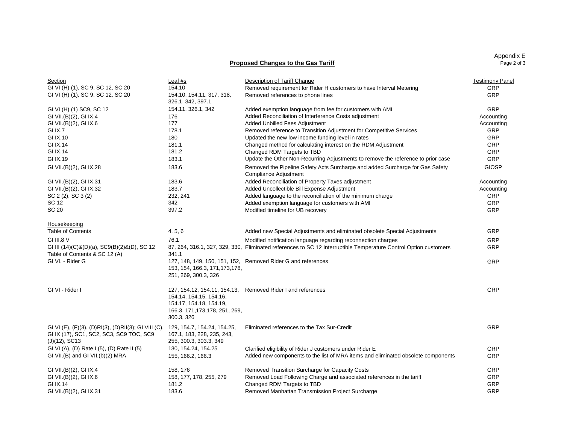Appendix E Page 2 of 3

#### **Proposed Changes to the Gas Tariff**

| <b>GRP</b><br>GI VI (H) (1), SC 9, SC 12, SC 20<br>154.10, 154.11, 317, 318,<br>GRP<br>Removed references to phone lines<br>326.1, 342, 397.1<br>154.11, 326.1, 342<br>GRP<br>Added exemption language from fee for customers with AMI<br>Added Reconciliation of Interference Costs adjustment<br>Accounting<br>176<br>Added Unbilled Fees Adjustment<br>177<br>Accounting<br>Removed reference to Transition Adjustment for Competitive Services<br>GRP<br>GI IX.7<br>178.1<br>GRP<br>GI IX.10<br>180<br>Updated the new low income funding level in rates<br>GI IX.14<br>181.1<br>Changed method for calculating interest on the RDM Adjustment<br><b>GRP</b><br>GRP<br>GI IX.14<br>181.2<br>Changed RDM Targets to TBD<br>GRP<br>GI IX.19<br>183.1<br>Update the Other Non-Recurring Adjustments to remove the reference to prior case<br>183.6<br>Removed the Pipeline Safety Acts Surcharge and added Surcharge for Gas Safety<br><b>GIOSP</b><br>Compliance Adjustment<br>Added Reconciliation of Property Taxes adjustment<br>GI VII.(B)(2), GI IX.31<br>183.6<br>Accounting<br>Added Uncollectible Bill Expense Adjustment<br>GI VII.(B)(2), GI IX.32<br>183.7<br>Accounting<br><b>GRP</b><br>SC 2 (2), SC 3 (2)<br>232, 241<br>Added language to the reconciliation of the minimum charge<br>GRP<br>SC 12<br>342<br>Added exemption language for customers with AMI<br>397.2<br>GRP<br>Modified timeline for UB recovery<br>Housekeeping<br><b>Table of Contents</b><br>Added new Special Adjustments and eliminated obsolete Special Adjustments<br>GRP<br>4, 5, 6<br>76.1<br>GRP<br>GI III.8 V<br>Modified notification language regarding reconnection charges<br>87, 264, 316.1, 327, 329, 330, Eliminated references to SC 12 Interruptible Temperature Control Option customers<br>GRP<br>GI III (14)(C)&(D)(a), SC9(B)(2)&(D), SC 12<br>Table of Contents & SC 12 (A)<br>341.1<br>GRP<br>GI VI. - Rider G<br>127, 148, 149, 150, 151, 152, Removed Rider G and references<br>153, 154, 166.3, 171, 173, 178,<br>251, 269, 300.3, 326<br>GI VI - Rider I<br>GRP<br>127, 154.12, 154.11, 154.13, Removed Rider I and references<br>154.14, 154.15, 154.16,<br>154.17, 154.18, 154.19,<br>166.3, 171, 173, 178, 251, 269,<br>300.3, 326<br>GRP<br>GI VI (E), (F)(3), (D)RI(3), (D)RII(3); GI VIII (C), 129, 154.7, 154.24, 154.25,<br>Eliminated references to the Tax Sur-Credit<br>167.1, 183, 228, 235, 243,<br>$(J)(12)$ , SC13<br>255, 300.3, 303.3, 349<br>GI VI (A), (D) Rate I (5), (D) Rate II (5)<br>130, 154.24, 154.25<br>GRP<br>Clarified eligibility of Rider J customers under Rider E<br><b>GRP</b><br>GI VII.(B) and GI VII.(b)(2) MRA<br>155, 166.2, 166.3<br>Added new components to the list of MRA items and eliminated obsolete components<br>GRP<br>GI VII.(B)(2), GI IX.4<br>158, 176<br>Removed Transition Surcharge for Capacity Costs<br>Removed Load Following Charge and associated references in the tariff<br><b>GRP</b><br>GI VII.(B)(2), GI IX.6<br>158, 177, 178, 255, 279<br>GI IX.14<br>181.2<br>Changed RDM Targets to TBD<br>GRP<br>183.6<br>GRP<br>GI VII.(B)(2), GI IX.31<br>Removed Manhattan Transmission Project Surcharge | Section                                 | Leaf #s | Description of Tariff Change                                        | <b>Testimony Panel</b> |
|-------------------------------------------------------------------------------------------------------------------------------------------------------------------------------------------------------------------------------------------------------------------------------------------------------------------------------------------------------------------------------------------------------------------------------------------------------------------------------------------------------------------------------------------------------------------------------------------------------------------------------------------------------------------------------------------------------------------------------------------------------------------------------------------------------------------------------------------------------------------------------------------------------------------------------------------------------------------------------------------------------------------------------------------------------------------------------------------------------------------------------------------------------------------------------------------------------------------------------------------------------------------------------------------------------------------------------------------------------------------------------------------------------------------------------------------------------------------------------------------------------------------------------------------------------------------------------------------------------------------------------------------------------------------------------------------------------------------------------------------------------------------------------------------------------------------------------------------------------------------------------------------------------------------------------------------------------------------------------------------------------------------------------------------------------------------------------------------------------------------------------------------------------------------------------------------------------------------------------------------------------------------------------------------------------------------------------------------------------------------------------------------------------------------------------------------------------------------------------------------------------------------------------------------------------------------------------------------------------------------------------------------------------------------------------------------------------------------------------------------------------------------------------------------------------------------------------------------------------------------------------------------------------------------------------------------------------------------------------------------------------------------------------------------------------------------------------------------------------------------------------------------------------------------------------------|-----------------------------------------|---------|---------------------------------------------------------------------|------------------------|
|                                                                                                                                                                                                                                                                                                                                                                                                                                                                                                                                                                                                                                                                                                                                                                                                                                                                                                                                                                                                                                                                                                                                                                                                                                                                                                                                                                                                                                                                                                                                                                                                                                                                                                                                                                                                                                                                                                                                                                                                                                                                                                                                                                                                                                                                                                                                                                                                                                                                                                                                                                                                                                                                                                                                                                                                                                                                                                                                                                                                                                                                                                                                                                                     | GI VI (H) (1), SC 9, SC 12, SC 20       | 154.10  | Removed requirement for Rider H customers to have Interval Metering |                        |
|                                                                                                                                                                                                                                                                                                                                                                                                                                                                                                                                                                                                                                                                                                                                                                                                                                                                                                                                                                                                                                                                                                                                                                                                                                                                                                                                                                                                                                                                                                                                                                                                                                                                                                                                                                                                                                                                                                                                                                                                                                                                                                                                                                                                                                                                                                                                                                                                                                                                                                                                                                                                                                                                                                                                                                                                                                                                                                                                                                                                                                                                                                                                                                                     |                                         |         |                                                                     |                        |
|                                                                                                                                                                                                                                                                                                                                                                                                                                                                                                                                                                                                                                                                                                                                                                                                                                                                                                                                                                                                                                                                                                                                                                                                                                                                                                                                                                                                                                                                                                                                                                                                                                                                                                                                                                                                                                                                                                                                                                                                                                                                                                                                                                                                                                                                                                                                                                                                                                                                                                                                                                                                                                                                                                                                                                                                                                                                                                                                                                                                                                                                                                                                                                                     | GI VI (H) (1) SC9, SC 12                |         |                                                                     |                        |
|                                                                                                                                                                                                                                                                                                                                                                                                                                                                                                                                                                                                                                                                                                                                                                                                                                                                                                                                                                                                                                                                                                                                                                                                                                                                                                                                                                                                                                                                                                                                                                                                                                                                                                                                                                                                                                                                                                                                                                                                                                                                                                                                                                                                                                                                                                                                                                                                                                                                                                                                                                                                                                                                                                                                                                                                                                                                                                                                                                                                                                                                                                                                                                                     | GI VII.(B)(2), GI IX.4                  |         |                                                                     |                        |
|                                                                                                                                                                                                                                                                                                                                                                                                                                                                                                                                                                                                                                                                                                                                                                                                                                                                                                                                                                                                                                                                                                                                                                                                                                                                                                                                                                                                                                                                                                                                                                                                                                                                                                                                                                                                                                                                                                                                                                                                                                                                                                                                                                                                                                                                                                                                                                                                                                                                                                                                                                                                                                                                                                                                                                                                                                                                                                                                                                                                                                                                                                                                                                                     | GI VII.(B)(2), GI IX.6                  |         |                                                                     |                        |
|                                                                                                                                                                                                                                                                                                                                                                                                                                                                                                                                                                                                                                                                                                                                                                                                                                                                                                                                                                                                                                                                                                                                                                                                                                                                                                                                                                                                                                                                                                                                                                                                                                                                                                                                                                                                                                                                                                                                                                                                                                                                                                                                                                                                                                                                                                                                                                                                                                                                                                                                                                                                                                                                                                                                                                                                                                                                                                                                                                                                                                                                                                                                                                                     |                                         |         |                                                                     |                        |
|                                                                                                                                                                                                                                                                                                                                                                                                                                                                                                                                                                                                                                                                                                                                                                                                                                                                                                                                                                                                                                                                                                                                                                                                                                                                                                                                                                                                                                                                                                                                                                                                                                                                                                                                                                                                                                                                                                                                                                                                                                                                                                                                                                                                                                                                                                                                                                                                                                                                                                                                                                                                                                                                                                                                                                                                                                                                                                                                                                                                                                                                                                                                                                                     |                                         |         |                                                                     |                        |
|                                                                                                                                                                                                                                                                                                                                                                                                                                                                                                                                                                                                                                                                                                                                                                                                                                                                                                                                                                                                                                                                                                                                                                                                                                                                                                                                                                                                                                                                                                                                                                                                                                                                                                                                                                                                                                                                                                                                                                                                                                                                                                                                                                                                                                                                                                                                                                                                                                                                                                                                                                                                                                                                                                                                                                                                                                                                                                                                                                                                                                                                                                                                                                                     |                                         |         |                                                                     |                        |
|                                                                                                                                                                                                                                                                                                                                                                                                                                                                                                                                                                                                                                                                                                                                                                                                                                                                                                                                                                                                                                                                                                                                                                                                                                                                                                                                                                                                                                                                                                                                                                                                                                                                                                                                                                                                                                                                                                                                                                                                                                                                                                                                                                                                                                                                                                                                                                                                                                                                                                                                                                                                                                                                                                                                                                                                                                                                                                                                                                                                                                                                                                                                                                                     |                                         |         |                                                                     |                        |
|                                                                                                                                                                                                                                                                                                                                                                                                                                                                                                                                                                                                                                                                                                                                                                                                                                                                                                                                                                                                                                                                                                                                                                                                                                                                                                                                                                                                                                                                                                                                                                                                                                                                                                                                                                                                                                                                                                                                                                                                                                                                                                                                                                                                                                                                                                                                                                                                                                                                                                                                                                                                                                                                                                                                                                                                                                                                                                                                                                                                                                                                                                                                                                                     |                                         |         |                                                                     |                        |
|                                                                                                                                                                                                                                                                                                                                                                                                                                                                                                                                                                                                                                                                                                                                                                                                                                                                                                                                                                                                                                                                                                                                                                                                                                                                                                                                                                                                                                                                                                                                                                                                                                                                                                                                                                                                                                                                                                                                                                                                                                                                                                                                                                                                                                                                                                                                                                                                                                                                                                                                                                                                                                                                                                                                                                                                                                                                                                                                                                                                                                                                                                                                                                                     | GI VII.(B)(2), GI IX.28                 |         |                                                                     |                        |
|                                                                                                                                                                                                                                                                                                                                                                                                                                                                                                                                                                                                                                                                                                                                                                                                                                                                                                                                                                                                                                                                                                                                                                                                                                                                                                                                                                                                                                                                                                                                                                                                                                                                                                                                                                                                                                                                                                                                                                                                                                                                                                                                                                                                                                                                                                                                                                                                                                                                                                                                                                                                                                                                                                                                                                                                                                                                                                                                                                                                                                                                                                                                                                                     |                                         |         |                                                                     |                        |
|                                                                                                                                                                                                                                                                                                                                                                                                                                                                                                                                                                                                                                                                                                                                                                                                                                                                                                                                                                                                                                                                                                                                                                                                                                                                                                                                                                                                                                                                                                                                                                                                                                                                                                                                                                                                                                                                                                                                                                                                                                                                                                                                                                                                                                                                                                                                                                                                                                                                                                                                                                                                                                                                                                                                                                                                                                                                                                                                                                                                                                                                                                                                                                                     |                                         |         |                                                                     |                        |
|                                                                                                                                                                                                                                                                                                                                                                                                                                                                                                                                                                                                                                                                                                                                                                                                                                                                                                                                                                                                                                                                                                                                                                                                                                                                                                                                                                                                                                                                                                                                                                                                                                                                                                                                                                                                                                                                                                                                                                                                                                                                                                                                                                                                                                                                                                                                                                                                                                                                                                                                                                                                                                                                                                                                                                                                                                                                                                                                                                                                                                                                                                                                                                                     |                                         |         |                                                                     |                        |
|                                                                                                                                                                                                                                                                                                                                                                                                                                                                                                                                                                                                                                                                                                                                                                                                                                                                                                                                                                                                                                                                                                                                                                                                                                                                                                                                                                                                                                                                                                                                                                                                                                                                                                                                                                                                                                                                                                                                                                                                                                                                                                                                                                                                                                                                                                                                                                                                                                                                                                                                                                                                                                                                                                                                                                                                                                                                                                                                                                                                                                                                                                                                                                                     |                                         |         |                                                                     |                        |
|                                                                                                                                                                                                                                                                                                                                                                                                                                                                                                                                                                                                                                                                                                                                                                                                                                                                                                                                                                                                                                                                                                                                                                                                                                                                                                                                                                                                                                                                                                                                                                                                                                                                                                                                                                                                                                                                                                                                                                                                                                                                                                                                                                                                                                                                                                                                                                                                                                                                                                                                                                                                                                                                                                                                                                                                                                                                                                                                                                                                                                                                                                                                                                                     | <b>SC 20</b>                            |         |                                                                     |                        |
|                                                                                                                                                                                                                                                                                                                                                                                                                                                                                                                                                                                                                                                                                                                                                                                                                                                                                                                                                                                                                                                                                                                                                                                                                                                                                                                                                                                                                                                                                                                                                                                                                                                                                                                                                                                                                                                                                                                                                                                                                                                                                                                                                                                                                                                                                                                                                                                                                                                                                                                                                                                                                                                                                                                                                                                                                                                                                                                                                                                                                                                                                                                                                                                     |                                         |         |                                                                     |                        |
|                                                                                                                                                                                                                                                                                                                                                                                                                                                                                                                                                                                                                                                                                                                                                                                                                                                                                                                                                                                                                                                                                                                                                                                                                                                                                                                                                                                                                                                                                                                                                                                                                                                                                                                                                                                                                                                                                                                                                                                                                                                                                                                                                                                                                                                                                                                                                                                                                                                                                                                                                                                                                                                                                                                                                                                                                                                                                                                                                                                                                                                                                                                                                                                     |                                         |         |                                                                     |                        |
|                                                                                                                                                                                                                                                                                                                                                                                                                                                                                                                                                                                                                                                                                                                                                                                                                                                                                                                                                                                                                                                                                                                                                                                                                                                                                                                                                                                                                                                                                                                                                                                                                                                                                                                                                                                                                                                                                                                                                                                                                                                                                                                                                                                                                                                                                                                                                                                                                                                                                                                                                                                                                                                                                                                                                                                                                                                                                                                                                                                                                                                                                                                                                                                     |                                         |         |                                                                     |                        |
|                                                                                                                                                                                                                                                                                                                                                                                                                                                                                                                                                                                                                                                                                                                                                                                                                                                                                                                                                                                                                                                                                                                                                                                                                                                                                                                                                                                                                                                                                                                                                                                                                                                                                                                                                                                                                                                                                                                                                                                                                                                                                                                                                                                                                                                                                                                                                                                                                                                                                                                                                                                                                                                                                                                                                                                                                                                                                                                                                                                                                                                                                                                                                                                     |                                         |         |                                                                     |                        |
|                                                                                                                                                                                                                                                                                                                                                                                                                                                                                                                                                                                                                                                                                                                                                                                                                                                                                                                                                                                                                                                                                                                                                                                                                                                                                                                                                                                                                                                                                                                                                                                                                                                                                                                                                                                                                                                                                                                                                                                                                                                                                                                                                                                                                                                                                                                                                                                                                                                                                                                                                                                                                                                                                                                                                                                                                                                                                                                                                                                                                                                                                                                                                                                     |                                         |         |                                                                     |                        |
|                                                                                                                                                                                                                                                                                                                                                                                                                                                                                                                                                                                                                                                                                                                                                                                                                                                                                                                                                                                                                                                                                                                                                                                                                                                                                                                                                                                                                                                                                                                                                                                                                                                                                                                                                                                                                                                                                                                                                                                                                                                                                                                                                                                                                                                                                                                                                                                                                                                                                                                                                                                                                                                                                                                                                                                                                                                                                                                                                                                                                                                                                                                                                                                     |                                         |         |                                                                     |                        |
|                                                                                                                                                                                                                                                                                                                                                                                                                                                                                                                                                                                                                                                                                                                                                                                                                                                                                                                                                                                                                                                                                                                                                                                                                                                                                                                                                                                                                                                                                                                                                                                                                                                                                                                                                                                                                                                                                                                                                                                                                                                                                                                                                                                                                                                                                                                                                                                                                                                                                                                                                                                                                                                                                                                                                                                                                                                                                                                                                                                                                                                                                                                                                                                     |                                         |         |                                                                     |                        |
|                                                                                                                                                                                                                                                                                                                                                                                                                                                                                                                                                                                                                                                                                                                                                                                                                                                                                                                                                                                                                                                                                                                                                                                                                                                                                                                                                                                                                                                                                                                                                                                                                                                                                                                                                                                                                                                                                                                                                                                                                                                                                                                                                                                                                                                                                                                                                                                                                                                                                                                                                                                                                                                                                                                                                                                                                                                                                                                                                                                                                                                                                                                                                                                     | GI IX (17), SC1, SC2, SC3, SC9 TOC, SC9 |         |                                                                     |                        |
|                                                                                                                                                                                                                                                                                                                                                                                                                                                                                                                                                                                                                                                                                                                                                                                                                                                                                                                                                                                                                                                                                                                                                                                                                                                                                                                                                                                                                                                                                                                                                                                                                                                                                                                                                                                                                                                                                                                                                                                                                                                                                                                                                                                                                                                                                                                                                                                                                                                                                                                                                                                                                                                                                                                                                                                                                                                                                                                                                                                                                                                                                                                                                                                     |                                         |         |                                                                     |                        |
|                                                                                                                                                                                                                                                                                                                                                                                                                                                                                                                                                                                                                                                                                                                                                                                                                                                                                                                                                                                                                                                                                                                                                                                                                                                                                                                                                                                                                                                                                                                                                                                                                                                                                                                                                                                                                                                                                                                                                                                                                                                                                                                                                                                                                                                                                                                                                                                                                                                                                                                                                                                                                                                                                                                                                                                                                                                                                                                                                                                                                                                                                                                                                                                     |                                         |         |                                                                     |                        |
|                                                                                                                                                                                                                                                                                                                                                                                                                                                                                                                                                                                                                                                                                                                                                                                                                                                                                                                                                                                                                                                                                                                                                                                                                                                                                                                                                                                                                                                                                                                                                                                                                                                                                                                                                                                                                                                                                                                                                                                                                                                                                                                                                                                                                                                                                                                                                                                                                                                                                                                                                                                                                                                                                                                                                                                                                                                                                                                                                                                                                                                                                                                                                                                     |                                         |         |                                                                     |                        |
|                                                                                                                                                                                                                                                                                                                                                                                                                                                                                                                                                                                                                                                                                                                                                                                                                                                                                                                                                                                                                                                                                                                                                                                                                                                                                                                                                                                                                                                                                                                                                                                                                                                                                                                                                                                                                                                                                                                                                                                                                                                                                                                                                                                                                                                                                                                                                                                                                                                                                                                                                                                                                                                                                                                                                                                                                                                                                                                                                                                                                                                                                                                                                                                     |                                         |         |                                                                     |                        |
|                                                                                                                                                                                                                                                                                                                                                                                                                                                                                                                                                                                                                                                                                                                                                                                                                                                                                                                                                                                                                                                                                                                                                                                                                                                                                                                                                                                                                                                                                                                                                                                                                                                                                                                                                                                                                                                                                                                                                                                                                                                                                                                                                                                                                                                                                                                                                                                                                                                                                                                                                                                                                                                                                                                                                                                                                                                                                                                                                                                                                                                                                                                                                                                     |                                         |         |                                                                     |                        |
|                                                                                                                                                                                                                                                                                                                                                                                                                                                                                                                                                                                                                                                                                                                                                                                                                                                                                                                                                                                                                                                                                                                                                                                                                                                                                                                                                                                                                                                                                                                                                                                                                                                                                                                                                                                                                                                                                                                                                                                                                                                                                                                                                                                                                                                                                                                                                                                                                                                                                                                                                                                                                                                                                                                                                                                                                                                                                                                                                                                                                                                                                                                                                                                     |                                         |         |                                                                     |                        |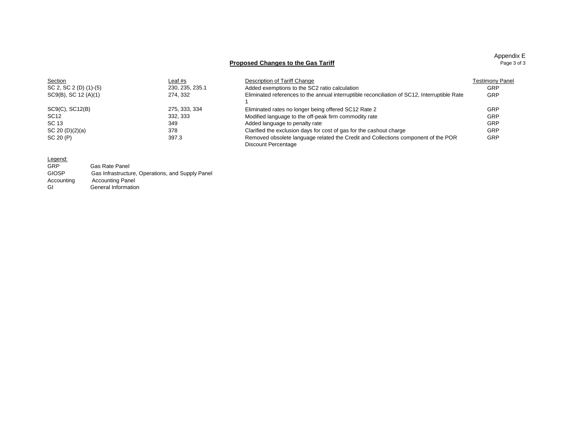#### **Proposed Changes to the Gas Tariff**

| Appendix E  |  |
|-------------|--|
| Page 3 of 3 |  |

| Section                | Leaf #s         | Description of Tariff Change                                                                 | <b>Testimony Panel</b> |
|------------------------|-----------------|----------------------------------------------------------------------------------------------|------------------------|
| SC 2, SC 2 (D) (1)-(5) | 230, 235, 235.1 | Added exemptions to the SC2 ratio calculation                                                | GRP                    |
| SC9(B), SC 12 (A)(1)   | 274.332         | Eliminated references to the annual interruptible reconciliation of SC12, Interruptible Rate | GRP                    |
|                        |                 |                                                                                              |                        |
| SC9(C), SC12(B)        | 275, 333, 334   | Eliminated rates no longer being offered SC12 Rate 2                                         | GRP                    |
| SC <sub>12</sub>       | 332, 333        | Modified language to the off-peak firm commodity rate                                        | GRP                    |
| SC 13                  | 349             | Added language to penalty rate                                                               | GRP                    |
| SC 20 (D)(2)(a)        | 378             | Clarified the exclusion days for cost of gas for the cashout charge                          | GRP                    |
| SC 20 (P)              | 397.3           | Removed obsolete language related the Credit and Collections component of the POR            | GRP                    |
|                        |                 | Discount Percentage                                                                          |                        |

#### Legend:

| GRP          | <b>Gas Rate Panel</b>                            |
|--------------|--------------------------------------------------|
| <b>GIOSP</b> | Gas Infrastructure, Operations, and Supply Panel |
| Accounting   | <b>Accounting Panel</b>                          |
| GI           | General Information                              |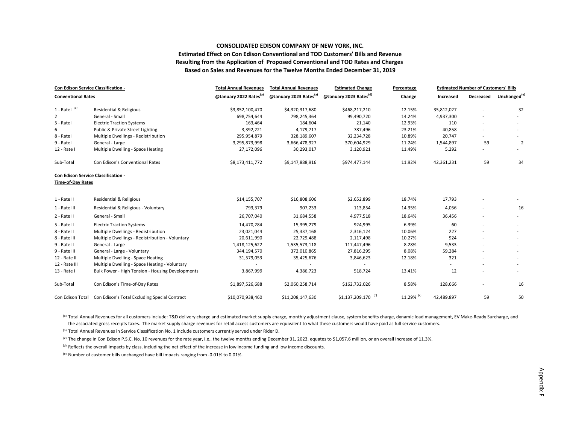#### **CONSOLIDATED EDISON COMPANY OF NEW YORK, INC. Estimated Effect on Con Edison Conventional and TOD Customers' Bills and Revenue Resulting from the Application of Proposed Conventional and TOD Rates and Charges Based on Sales and Revenues for the Twelve Months Ended December 31, 2019**

| Con Edison Service Classification -                             |                                                  | <b>Total Annual Revenues</b>       | <b>Total Annual Revenues</b>       | <b>Estimated Change</b>            | Percentage |            | <b>Estimated Number of Customers' Bills</b> |                          |
|-----------------------------------------------------------------|--------------------------------------------------|------------------------------------|------------------------------------|------------------------------------|------------|------------|---------------------------------------------|--------------------------|
| <b>Conventional Rates</b>                                       |                                                  | @January 2022 Rates <sup>(a)</sup> | @January 2023 Rates <sup>(a)</sup> | @January 2023 Rates <sup>(d)</sup> | Change     | Increased  | Decreased                                   | Unchanged <sup>(e)</sup> |
| $1 - Rate I(b)$                                                 | <b>Residential &amp; Religious</b>               | \$3,852,100,470                    | \$4,320,317,680                    | \$468,217,210                      | 12.15%     | 35,812,027 |                                             | 32                       |
| 2                                                               | General - Small                                  | 698,754,644                        | 798,245,364                        | 99,490,720                         | 14.24%     | 4,937,300  |                                             |                          |
| 5 - Rate I                                                      | <b>Electric Traction Systems</b>                 | 163,464                            | 184,604                            | 21,140                             | 12.93%     | 110        |                                             | $\sim$                   |
| 6                                                               | Public & Private Street Lighting                 | 3,392,221                          | 4,179,717                          | 787,496                            | 23.21%     | 40,858     |                                             |                          |
| 8 - Rate I                                                      | Multiple Dwellings - Redistribution              | 295,954,879                        | 328,189,607                        | 32,234,728                         | 10.89%     | 20,747     |                                             |                          |
| $9 - Rate I$                                                    | General - Large                                  | 3,295,873,998                      | 3,666,478,927                      | 370,604,929                        | 11.24%     | 1,544,897  | 59                                          | $\overline{2}$           |
| 12 - Rate I                                                     | Multiple Dwelling - Space Heating                | 27,172,096                         | 30,293,017                         | 3,120,921                          | 11.49%     | 5,292      |                                             |                          |
| Sub-Total                                                       | Con Edison's Conventional Rates                  | \$8,173,411,772                    | \$9,147,888,916                    | \$974,477,144                      | 11.92%     | 42,361,231 | 59                                          | 34                       |
| Con Edison Service Classification -<br><b>Time-of-Day Rates</b> |                                                  |                                    |                                    |                                    |            |            |                                             |                          |
| 1 - Rate II                                                     | Residential & Religious                          | \$14,155,707                       | \$16,808,606                       | \$2,652,899                        | 18.74%     | 17,793     |                                             |                          |
| 1 - Rate III                                                    | Residential & Religious - Voluntary              | 793,379                            | 907,233                            | 113,854                            | 14.35%     | 4,056      |                                             | 16                       |
| 2 - Rate II                                                     | General - Small                                  | 26,707,040                         | 31,684,558                         | 4,977,518                          | 18.64%     | 36,456     |                                             |                          |
| 5 - Rate II                                                     | <b>Electric Traction Systems</b>                 | 14,470,284                         | 15,395,279                         | 924,995                            | 6.39%      | 60         |                                             | $\sim$                   |
| 8 - Rate II                                                     | Multiple Dwellings - Redistribution              | 23,021,044                         | 25,337,168                         | 2,316,124                          | 10.06%     | 227        |                                             |                          |
| 8 - Rate III                                                    | Multiple Dwellings - Redistribution - Voluntary  | 20,611,990                         | 22,729,488                         | 2,117,498                          | 10.27%     | 924        |                                             |                          |
| 9 - Rate II                                                     | General - Large                                  | 1,418,125,622                      | 1,535,573,118                      | 117,447,496                        | 8.28%      | 9,533      |                                             |                          |
| 9 - Rate III                                                    | General - Large - Voluntary                      | 344,194,570                        | 372,010,865                        | 27,816,295                         | 8.08%      | 59,284     |                                             |                          |
| 12 - Rate II                                                    | Multiple Dwelling - Space Heating                | 31,579,053                         | 35,425,676                         | 3,846,623                          | 12.18%     | 321        |                                             |                          |
| 12 - Rate III                                                   | Multiple Dwelling - Space Heating - Voluntary    |                                    |                                    |                                    |            |            |                                             |                          |
| 13 - Rate I                                                     | Bulk Power - High Tension - Housing Developments | 3,867,999                          | 4,386,723                          | 518,724                            | 13.41%     | 12         |                                             |                          |
| Sub-Total                                                       | Con Edison's Time-of-Day Rates                   | \$1,897,526,688                    | \$2,060,258,714                    | \$162,732,026                      | 8.58%      | 128,666    |                                             | 16                       |
| Con Edison Total                                                | Con Edison's Total Excluding Special Contract    | \$10,070,938,460                   | \$11,208,147,630                   | $$1,137,209,170$ <sup>(c)</sup>    | 11.29% (c) | 42,489,897 | 59                                          | 50                       |

(a) Total Annual Revenues for all customers include: T&D delivery charge and estimated market supply charge, monthly adjustment clause, system benefits charge, dynamic load management, EV Make‐Ready Surcharge, and the associated gross receipts taxes. The market supply charge revenues for retail access customers are equivalent to what these customers would have paid as full service customers.

<sup>(b)</sup> Total Annual Revenues in Service Classification No. 1 include customers currently served under Rider D.

<sup>(c)</sup> The change in Con Edison P.S.C. No. 10 revenues for the rate year, i.e., the twelve months ending December 31, 2023, equates to \$1,057.6 million, or an overall increase of 11.3%.

<sup>(d)</sup> Reflects the overall impacts by class, including the net effect of the increase in low income funding and low income discounts.

<sup>(e)</sup> Number of customer bills unchanged have bill impacts ranging from -0.01% to 0.01%.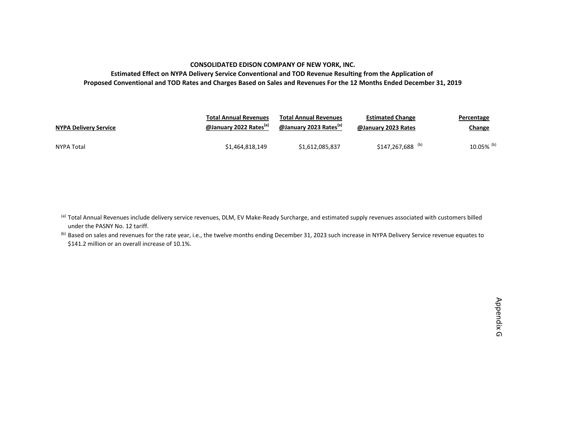#### **CONSOLIDATED EDISON COMPANY OF NEW YORK, INC.**

**Estimated Effect on NYPA Delivery Service Conventional and TOD Revenue Resulting from the Application of** Proposed Conventional and TOD Rates and Charges Based on Sales and Revenues For the 12 Months Ended December 31, 2019

| <b>NYPA Delivery Service</b> | <b>Total Annual Revenues</b>       | <b>Total Annual Revenues</b>       | <b>Estimated Change</b>       | Percentage    |
|------------------------------|------------------------------------|------------------------------------|-------------------------------|---------------|
|                              | @January 2022 Rates <sup>(a)</sup> | @January 2023 Rates <sup>(a)</sup> | @January 2023 Rates           | <u>Change</u> |
| NYPA Total                   | \$1,464,818,149                    | \$1.612.085.837                    | $$147,267,688$ <sup>(b)</sup> | 10.05% (b)    |

<sup>(a)</sup> Total Annual Revenues include delivery service revenues, DLM, EV Make-Ready Surcharge, and estimated supply revenues associated with customers billed under the PASNY No. 12 tariff.

<sup>(b)</sup> Based on sales and revenues for the rate year, i.e., the twelve months ending December 31, 2023 such increase in NYPA Delivery Service revenue equates to \$141.2 million or an overall increase of 10.1%.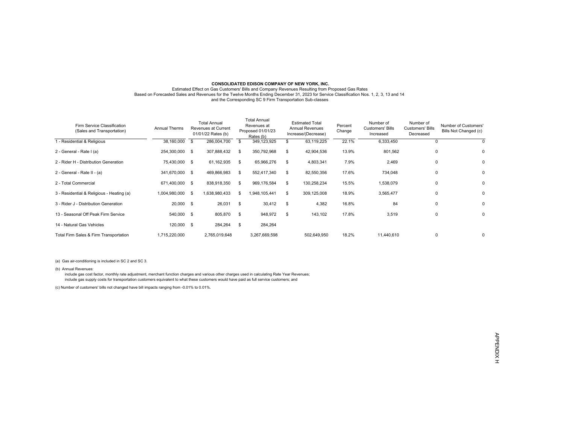#### **CONSOLIDATED EDISON COMPANY OF NEW YORK, INC.** Estimated Effect on Gas Customers' Bills and Company Revenues Resulting from Proposed Gas Rates Based on Forecasted Sales and Revenues for the Twelve Months Ending December 31, 2023 for Service Classification Nos. 1, 2, 3, 13 and 14 and the Corresponding SC 9 Firm Transportation Sub-classes

| Firm Service Classification<br>(Sales and Transportation) | <b>Annual Therms</b> |          | <b>Total Annual</b><br>Revenues at Current<br>01/01/22 Rates (b) |    | Total Annual<br>Revenues at<br>Proposed 01/01/23<br>Rates (b) | <b>Estimated Total</b><br><b>Annual Revenues</b><br>Increase/(Decrease) | Percent<br>Change | Number of<br><b>Customers' Bills</b><br>Increased | Number of<br>Customers' Bills<br>Decreased | Number of Customers'<br>Bills Not Changed (c) |
|-----------------------------------------------------------|----------------------|----------|------------------------------------------------------------------|----|---------------------------------------------------------------|-------------------------------------------------------------------------|-------------------|---------------------------------------------------|--------------------------------------------|-----------------------------------------------|
| 1 - Residential & Religious                               | 38,160,000           | <b>S</b> | 286,004,700                                                      | \$ | 349,123,925                                                   | 63,119,225                                                              | 22.1%             | 6,333,450                                         |                                            | 0                                             |
| 2 - General - Rate I (a)                                  | 254,300,000 \$       |          | 307,888,432                                                      | \$ | 350,792,968                                                   | \$<br>42,904,536                                                        | 13.9%             | 801,562                                           | 0                                          | 0                                             |
| 2 - Rider H - Distribution Generation                     | 75,430,000 \$        |          | 61,162,935                                                       | \$ | 65,966,276                                                    | \$<br>4,803,341                                                         | 7.9%              | 2,469                                             | 0                                          | 0                                             |
| 2 - General - Rate II - (a)                               | 341,670,000 \$       |          | 469,866,983                                                      | \$ | 552,417,340                                                   | \$<br>82,550,356                                                        | 17.6%             | 734,048                                           | 0                                          | 0                                             |
| 2 - Total Commercial                                      | 671,400,000 \$       |          | 838,918,350                                                      | \$ | 969,176,584                                                   | \$<br>130,258,234                                                       | 15.5%             | 1,538,079                                         | 0                                          | $\mathbf 0$                                   |
| 3 - Residential & Religious - Heating (a)                 | 1,004,980,000 \$     |          | 1,638,980,433                                                    | £. | 948,105,441                                                   | \$<br>309,125,008                                                       | 18.9%             | 3,565,477                                         | 0                                          | 0                                             |
| 3 - Rider J - Distribution Generation                     | 20,000 \$            |          | 26,031                                                           | \$ | 30,412                                                        | \$<br>4,382                                                             | 16.8%             | 84                                                | 0                                          | $\mathbf 0$                                   |
| 13 - Seasonal Off Peak Firm Service                       | 540,000 \$           |          | 805,870                                                          | \$ | 948,972                                                       | \$<br>143,102                                                           | 17.8%             | 3,519                                             | 0                                          | 0                                             |
| 14 - Natural Gas Vehicles                                 | 120,000 \$           |          | 284,264                                                          | \$ | 284,264                                                       |                                                                         |                   |                                                   |                                            |                                               |
| Total Firm Sales & Firm Transportation                    | 1,715,220,000        |          | 2,765,019,648                                                    |    | 3,267,669,598                                                 | 502,649,950                                                             | 18.2%             | 11,440,610                                        | 0                                          | 0                                             |

(a) Gas air-conditioning is included in SC 2 and SC 3.

(b) Annual Revenues:

 include gas cost factor, monthly rate adjustment, merchant function charges and various other charges used in calculating Rate Year Revenues; include gas supply costs for transportation customers equivalent to what these customers would have paid as full service customers; and

(c) Number of customers' bills not changed have bill impacts ranging from -0.01% to 0.01%.